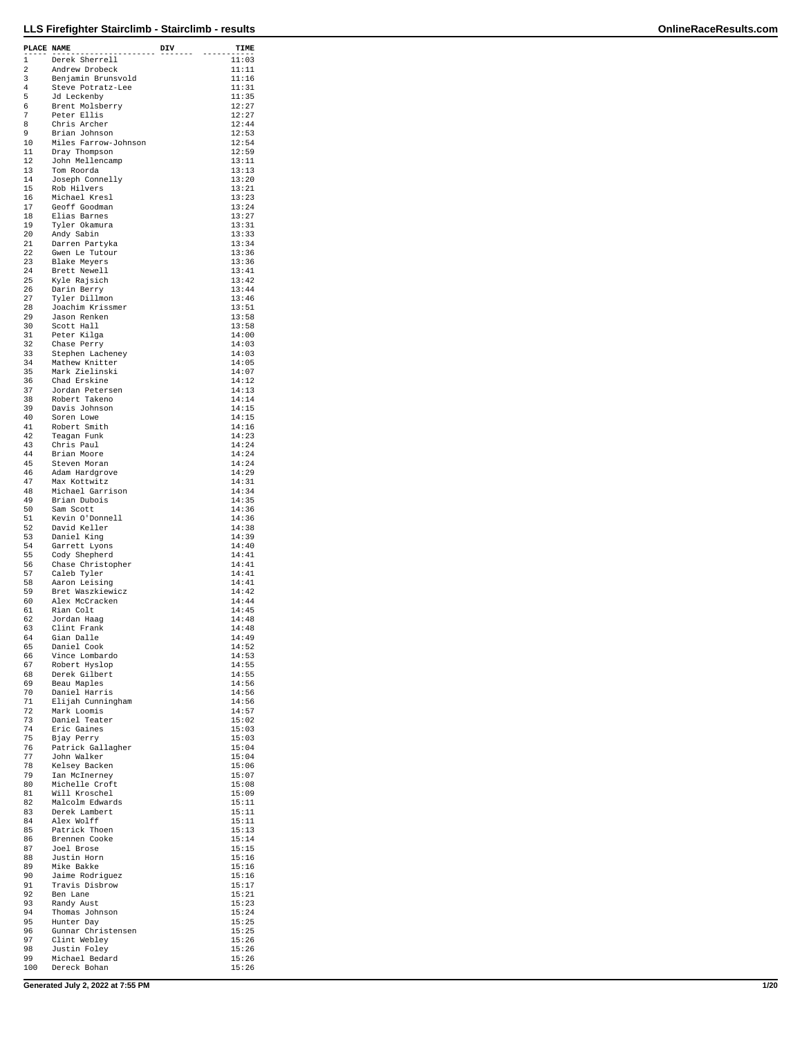| PLACE NAME |                                       | DIV | TIME           |
|------------|---------------------------------------|-----|----------------|
| 1          | Derek Sherrell                        |     | 11:03          |
| 2          | Andrew Drobeck                        |     | 11:11          |
| 3          | Benjamin Brunsvold                    |     | 11:16          |
| 4          | Steve Potratz-Lee                     |     | 11:31          |
| 5<br>6     | Jd Leckenby<br>Brent Molsberry        |     | 11:35<br>12:27 |
| 7          | Peter Ellis                           |     | 12:27          |
| 8          | Chris Archer                          |     | 12:44          |
| 9          | Brian Johnson<br>Miles Farrow-Johnson |     | 12:53<br>12:54 |
| 10<br>11   | Dray Thompson                         |     | 12:59          |
| 12         | John Mellencamp                       |     | 13:11          |
| 13         | Tom Roorda                            |     | 13:13          |
| 14<br>15   | Joseph Connelly<br>Rob Hilvers        |     | 13:20<br>13:21 |
| 16         | Michael Kresl                         |     | 13:23          |
| 17         | Geoff Goodman                         |     | 13:24          |
| 18         | Elias Barnes                          |     | 13:27          |
| 19<br>20   | Tyler Okamura<br>Andy Sabin           |     | 13:31<br>13:33 |
| 21         | Darren Partyka                        |     | 13:34          |
| 22         | Gwen Le Tutour                        |     | 13:36          |
| 23<br>24   | Blake Meyers                          |     | 13:36<br>13:41 |
| 25         | Brett Newell<br>Kyle Rajsich          |     | 13:42          |
| 26         | Darin Berry                           |     | 13:44          |
| 27         | Tyler Dillmon                         |     | 13:46          |
| 28<br>29   | Joachim Krissmer<br>Jason Renken      |     | 13:51<br>13:58 |
| 30         | Scott Hall                            |     | 13:58          |
| 31         | Peter Kilga                           |     | 14:00          |
| 32         | Chase Perry                           |     | 14:03          |
| 33<br>34   | Stephen Lacheney<br>Mathew Knitter    |     | 14:03<br>14:05 |
| 35         | Mark Zielinski                        |     | 14:07          |
| 36         | Chad Erskine                          |     | 14:12          |
| 37         | Jordan Petersen                       |     | 14:13          |
| 38<br>39   | Robert Takeno<br>Davis Johnson        |     | 14:14<br>14:15 |
| 40         | Soren Lowe                            |     | 14:15          |
| 41         | Robert Smith                          |     | 14:16          |
| 42         | Teagan Funk                           |     | 14:23          |
| 43<br>44   | Chris Paul<br>Brian Moore             |     | 14:24<br>14:24 |
| 45         | Steven Moran                          |     | 14:24          |
| 46         | Adam Hardgrove                        |     | 14:29          |
| 47<br>48   | Max Kottwitz<br>Michael Garrison      |     | 14:31<br>14:34 |
| 49         | Brian Dubois                          |     | 14:35          |
| 50         | Sam Scott                             |     | 14:36          |
| 51         | Kevin O'Donnell                       |     | 14:36          |
| 52<br>53   | David Keller<br>Daniel King           |     | 14:38<br>14:39 |
| 54         | Garrett Lyons                         |     | 14:40          |
| 55         | Cody Shepherd                         |     | 14:41          |
| 56         | Chase Christopher                     |     | 14:41          |
| 57<br>58   | Caleb Tyler<br>Aaron Leising          |     | 14:41<br>14:41 |
| 59         | Bret Waszkiewicz                      |     | 14:42          |
| 60         | Alex McCracken                        |     | 14:44          |
| 61         | Rian Colt                             |     | 14:45          |
| 62<br>63   | Jordan Haaq<br>Clint Frank            |     | 14:48<br>14:48 |
| 64         | Gian Dalle                            |     | 14:49          |
| 65         | Daniel Cook                           |     | 14:52          |
| 66<br>67   | Vince Lombardo                        |     | 14:53<br>14:55 |
| 68         | Robert Hyslop<br>Derek Gilbert        |     | 14:55          |
| 69         | Beau Maples                           |     | 14:56          |
| 70         | Daniel Harris                         |     | 14:56          |
| 71<br>72   | Elijah Cunningham<br>Mark Loomis      |     | 14:56<br>14:57 |
| 73         | Daniel Teater                         |     | 15:02          |
| 74         | Eric Gaines                           |     | 15:03          |
| 75<br>76   | Bjay Perry                            |     | 15:03<br>15:04 |
| 77         | Patrick Gallagher<br>John Walker      |     | 15:04          |
| 78         | Kelsey Backen                         |     | 15:06          |
| 79         | Ian McInerney                         |     | 15:07          |
| 80<br>81   | Michelle Croft<br>Will Kroschel       |     | 15:08<br>15:09 |
| 82         | Malcolm Edwards                       |     | 15:11          |
| 83         | Derek Lambert                         |     | 15:11          |
| 84         | Alex Wolff                            |     | 15:11          |
| 85<br>86   | Patrick Thoen<br>Brennen Cooke        |     | 15:13<br>15:14 |
| 87         | Joel Brose                            |     | 15:15          |
| 88         | Justin Horn                           |     | 15:16          |
| 89<br>90   | Mike Bakke                            |     | 15:16          |
| 91         | Jaime Rodriguez<br>Travis Disbrow     |     | 15:16<br>15:17 |
| 92         | Ben Lane                              |     | 15:21          |
| 93         | Randy Aust                            |     | 15:23          |
| 94<br>95   | Thomas Johnson<br>Hunter Day          |     | 15:24<br>15:25 |
| 96         | Gunnar Christensen                    |     | 15:25          |
| 97         | Clint Webley                          |     | 15:26          |
| 98<br>99   | Justin Foley                          |     | 15:26          |
| 100        | Michael Bedard<br>Dereck Bohan        |     | 15:26<br>15:26 |

**Generated July 2, 2022 at 7:55 PM 1/20**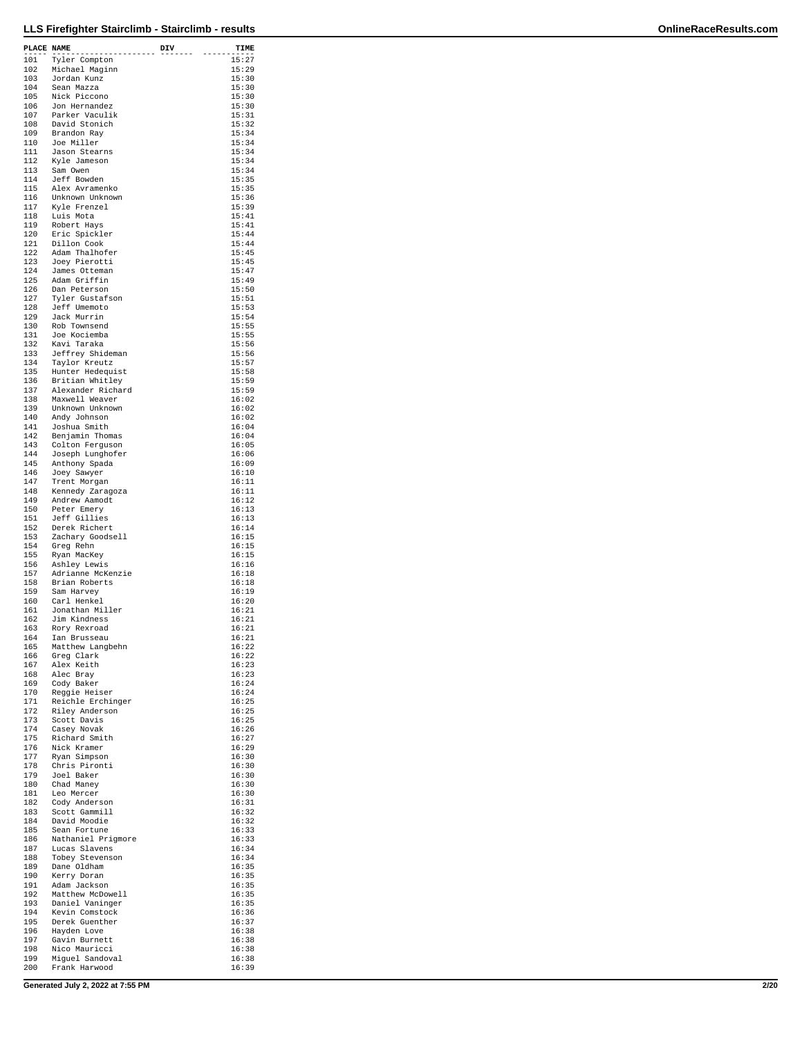| PLACE NAME |                                     | DIV | TIME           |
|------------|-------------------------------------|-----|----------------|
| 101        | -----------<br>Tyler Compton        |     | 15:27          |
| 102        | Michael Maginn                      |     | 15:29          |
| 103<br>104 | Jordan Kunz<br>Sean Mazza           |     | 15:30<br>15:30 |
| 105        | Nick Piccono                        |     | 15:30          |
| 106        | Jon Hernandez                       |     | 15:30          |
| 107<br>108 | Parker Vaculik<br>David Stonich     |     | 15:31<br>15:32 |
| 109        | Brandon Ray                         |     | 15:34          |
| 110        | Joe Miller                          |     | 15:34<br>15:34 |
| 111<br>112 | Jason Stearns<br>Kyle Jameson       |     | 15:34          |
| 113        | Sam Owen                            |     | 15:34          |
| 114<br>115 | Jeff Bowden<br>Alex Avramenko       |     | 15:35<br>15:35 |
| 116        | Unknown Unknown                     |     | 15:36          |
| 117        | Kyle Frenzel                        |     | 15:39          |
| 118<br>119 | Luis Mota<br>Robert Hays            |     | 15:41<br>15:41 |
| 120        | Eric Spickler                       |     | 15:44          |
| 121        | Dillon Cook                         |     | 15:44          |
| 122<br>123 | Adam Thalhofer<br>Joey Pierotti     |     | 15:45<br>15:45 |
| 124        | James Otteman                       |     | 15:47          |
| 125        | Adam Griffin                        |     | 15:49          |
| 126<br>127 | Dan Peterson<br>Tyler Gustafson     |     | 15:50<br>15:51 |
| 128        | Jeff Umemoto                        |     | 15:53          |
| 129<br>130 | Jack Murrin<br>Rob Townsend         |     | 15:54<br>15:55 |
| 131        | Joe Kociemba                        |     | 15:55          |
| 132        | Kavi Taraka                         |     | 15:56          |
| 133<br>134 | Jeffrey Shideman<br>Taylor Kreutz   |     | 15:56<br>15:57 |
| 135        | Hunter Hedequist                    |     | 15:58          |
| 136        | Britian Whitley                     |     | 15:59          |
| 137<br>138 | Alexander Richard<br>Maxwell Weaver |     | 15:59<br>16:02 |
| 139        | Unknown Unknown                     |     | 16:02          |
| 140        | Andy Johnson                        |     | 16:02          |
| 141<br>142 | Joshua Smith<br>Benjamin Thomas     |     | 16:04<br>16:04 |
| 143        | Colton Ferguson                     |     | 16:05          |
| 144        | Joseph Lunghofer                    |     | 16:06          |
| 145<br>146 | Anthony Spada<br>Joey Sawyer        |     | 16:09<br>16:10 |
| 147        | Trent Morgan                        |     | 16:11          |
| 148        | Kennedy Zaragoza                    |     | 16:11          |
| 149<br>150 | Andrew Aamodt<br>Peter Emery        |     | 16:12<br>16:13 |
| 151        | Jeff Gillies                        |     | 16:13          |
| 152<br>153 | Derek Richert<br>Zachary Goodsell   |     | 16:14<br>16:15 |
| 154        | Greg Rehn                           |     | 16:15          |
| 155        | Ryan MacKey                         |     | 16:15          |
| 156<br>157 | Ashley Lewis<br>Adrianne McKenzie   |     | 16:16<br>16:18 |
| 158        | Brian Roberts                       |     | 16:18          |
| 159        | Sam Harvey                          |     | 16:19          |
| 160<br>161 | Carl Henkel<br>Jonathan Miller      |     | 16:20<br>16:21 |
| 162        | Jim Kindness                        |     | 16:21          |
| 163        | Rory Rexroad                        |     | 16:21          |
| 164<br>165 | Ian Brusseau<br>Matthew Langbehn    |     | 16:21<br>16:22 |
| 166        | Greg Clark                          |     | 16:22          |
| 167<br>168 | Alex Keith                          |     | 16:23<br>16:23 |
| 169        | Alec Bray<br>Cody Baker             |     | 16:24          |
| 170        | Reggie Heiser                       |     | 16:24          |
| 171<br>172 | Reichle Erchinger<br>Riley Anderson |     | 16:25<br>16:25 |
| 173        | Scott Davis                         |     | 16:25          |
| 174<br>175 | Casey Novak                         |     | 16:26<br>16:27 |
| 176        | Richard Smith<br>Nick Kramer        |     | 16:29          |
| 177        | Ryan Simpson                        |     | 16:30          |
| 178<br>179 | Chris Pironti<br>Joel Baker         |     | 16:30<br>16:30 |
| 180        | Chad Maney                          |     | 16:30          |
| 181        | Leo Mercer                          |     | 16:30          |
| 182<br>183 | Cody Anderson<br>Scott Gammill      |     | 16:31<br>16:32 |
| 184        | David Moodie                        |     | 16:32          |
| 185        | Sean Fortune                        |     | 16:33          |
| 186<br>187 | Nathaniel Prigmore<br>Lucas Slavens |     | 16:33<br>16:34 |
| 188        | Tobey Stevenson                     |     | 16:34          |
| 189<br>190 | Dane Oldham                         |     | 16:35<br>16:35 |
| 191        | Kerry Doran<br>Adam Jackson         |     | 16:35          |
| 192        | Matthew McDowell                    |     | 16:35          |
| 193<br>194 | Daniel Vaninger<br>Kevin Comstock   |     | 16:35<br>16:36 |
| 195        | Derek Guenther                      |     | 16:37          |
| 196        | Hayden Love                         |     | 16:38          |
| 197<br>198 | Gavin Burnett<br>Nico Mauricci      |     | 16:38<br>16:38 |
| 199        | Miguel Sandoval                     |     | 16:38          |
| 200        | Frank Harwood                       |     | 16:39          |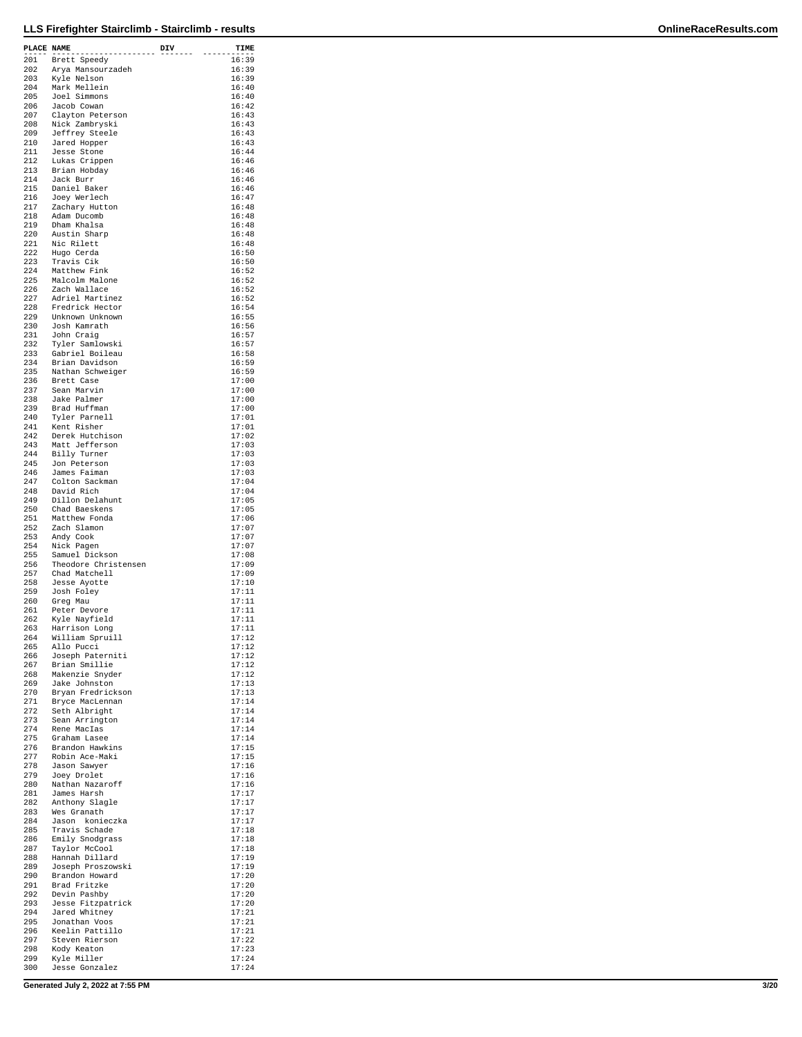| PLACE NAME |                                  |     | TIME           |
|------------|----------------------------------|-----|----------------|
|            | -------------                    | DIV |                |
| 201        | Brett Speedy                     |     | 16:39          |
| 202        | Arya Mansourzadeh                |     | 16:39          |
| 203        | Kyle Nelson                      |     | 16:39          |
| 204        | Mark Mellein                     |     | 16:40          |
| 205<br>206 | Joel Simmons<br>Jacob Cowan      |     | 16:40<br>16:42 |
| 207        | Clayton Peterson                 |     | 16:43          |
| 208        | Nick Zambryski                   |     | 16:43          |
| 209        | Jeffrey Steele                   |     | 16:43          |
| 210        | Jared Hopper                     |     | 16:43          |
| 211        | Jesse Stone                      |     | 16:44          |
| 212        | Lukas Crippen                    |     | 16:46          |
| 213        | Brian Hobday                     |     | 16:46          |
| 214        | Jack Burr                        |     | 16:46          |
| 215        | Daniel Baker                     |     | 16:46          |
| 216        | Joey Werlech                     |     | 16:47          |
| 217        | Zachary Hutton                   |     | 16:48          |
| 218        | Adam Ducomb                      |     | 16:48          |
| 219        | Dham Khalsa                      |     | 16:48          |
| 220<br>221 | Austin Sharp<br>Nic Rilett       |     | 16:48<br>16:48 |
| 222        | Hugo Cerda                       |     | 16:50          |
| 223        | Travis Cik                       |     | 16:50          |
| 224        | Matthew Fink                     |     | 16:52          |
| 225        | Malcolm Malone                   |     | 16:52          |
| 226        | Zach Wallace                     |     | 16:52          |
| 227        | Adriel Martinez                  |     | 16:52          |
| 228        | Fredrick Hector                  |     | 16:54          |
| 229        | Unknown Unknown                  |     | 16:55          |
| 230        | Josh Kamrath                     |     | 16:56          |
| 231        | John Craig                       |     | 16:57          |
| 232        | Tyler Samlowski                  |     | 16:57          |
| 233        | Gabriel Boileau                  |     | 16:58          |
| 234        | Brian Davidson                   |     | 16:59          |
| 235        | Nathan Schweiger                 |     | 16:59          |
| 236<br>237 | Brett Case                       |     | 17:00          |
| 238        | Sean Marvin                      |     | 17:00<br>17:00 |
| 239        | Jake Palmer<br>Brad Huffman      |     | 17:00          |
| 240        | Tyler Parnell                    |     | 17:01          |
| 241        | Kent Risher                      |     | 17:01          |
| 242        | Derek Hutchison                  |     | 17:02          |
| 243        | Matt Jefferson                   |     | 17:03          |
| 244        | Billy Turner                     |     | 17:03          |
| 245        | Jon Peterson                     |     | 17:03          |
| 246        | James Faiman                     |     | 17:03          |
| 247        | Colton Sackman                   |     | 17:04          |
| 248        | David Rich                       |     | 17:04          |
| 249        | Dillon Delahunt                  |     | 17:05          |
| 250        | Chad Baeskens                    |     | 17:05          |
| 251<br>252 | Matthew Fonda<br>Zach Slamon     |     | 17:06<br>17:07 |
| 253        | Andy Cook                        |     | 17:07          |
| 254        | Nick Pagen                       |     | 17:07          |
| 255        | Samuel Dickson                   |     | 17:08          |
| 256        | Theodore Christensen             |     | 17:09          |
| 257        | Chad Matchell                    |     | 17:09          |
| 258        | Jesse Ayotte                     |     | 17:10          |
| 259        | Josh Foley                       |     | 17:11          |
| 260        | Greg Mau                         |     | 17:11          |
| 261        | Peter Devore                     |     | 17:11          |
| 262        | Kyle Nayfield                    |     | 17:11          |
| 263<br>264 | Harrison Long<br>William Spruill |     | 17:11<br>17:12 |
| 265        | Allo Pucci                       |     | 17:12          |
| 266        | Joseph Paterniti                 |     | 17:12          |
| 267        | Brian Smillie                    |     | 17:12          |
| 268        | Makenzie Snyder                  |     | 17:12          |
| 269        | Jake Johnston                    |     | 17:13          |
| 270        | Bryan Fredrickson                |     | 17:13          |
| 271        | Bryce MacLennan                  |     | 17:14          |
| 272        | Seth Albright                    |     | 17:14          |
| 273        | Sean Arrington                   |     | 17:14          |
| 274<br>275 | Rene MacIas<br>Graham Lasee      |     | 17:14<br>17:14 |
| 276        | Brandon Hawkins                  |     | 17:15          |
| 277        | Robin Ace-Maki                   |     | 17:15          |
| 278        | Jason Sawyer                     |     | 17:16          |
| 279        | Joey Drolet                      |     | 17:16          |
| 280        | Nathan Nazaroff                  |     | 17:16          |
| 281        | James Harsh                      |     | 17:17          |
| 282        | Anthony Slagle                   |     | 17:17          |
| 283        | Wes Granath                      |     | 17:17          |
| 284        | Jason konieczka                  |     | 17:17          |
| 285        | Travis Schade                    |     | 17:18          |
| 286        | Emily Snodgrass                  |     | 17:18<br>17:18 |
| 287<br>288 | Taylor McCool<br>Hannah Dillard  |     | 17:19          |
| 289        | Joseph Proszowski                |     | 17:19          |
| 290        | Brandon Howard                   |     | 17:20          |
| 291        | Brad Fritzke                     |     | 17:20          |
| 292        | Devin Pashby                     |     | 17:20          |
| 293        | Jesse Fitzpatrick                |     | 17:20          |
| 294        | Jared Whitney                    |     | 17:21          |
| 295        | Jonathan Voos                    |     | 17:21          |
| 296        | Keelin Pattillo                  |     | 17:21          |
| 297        | Steven Rierson                   |     | 17:22          |
| 298        | Kody Keaton                      |     | 17:23          |
| 299<br>300 | Kyle Miller<br>Jesse Gonzalez    |     | 17:24<br>17:24 |
|            |                                  |     |                |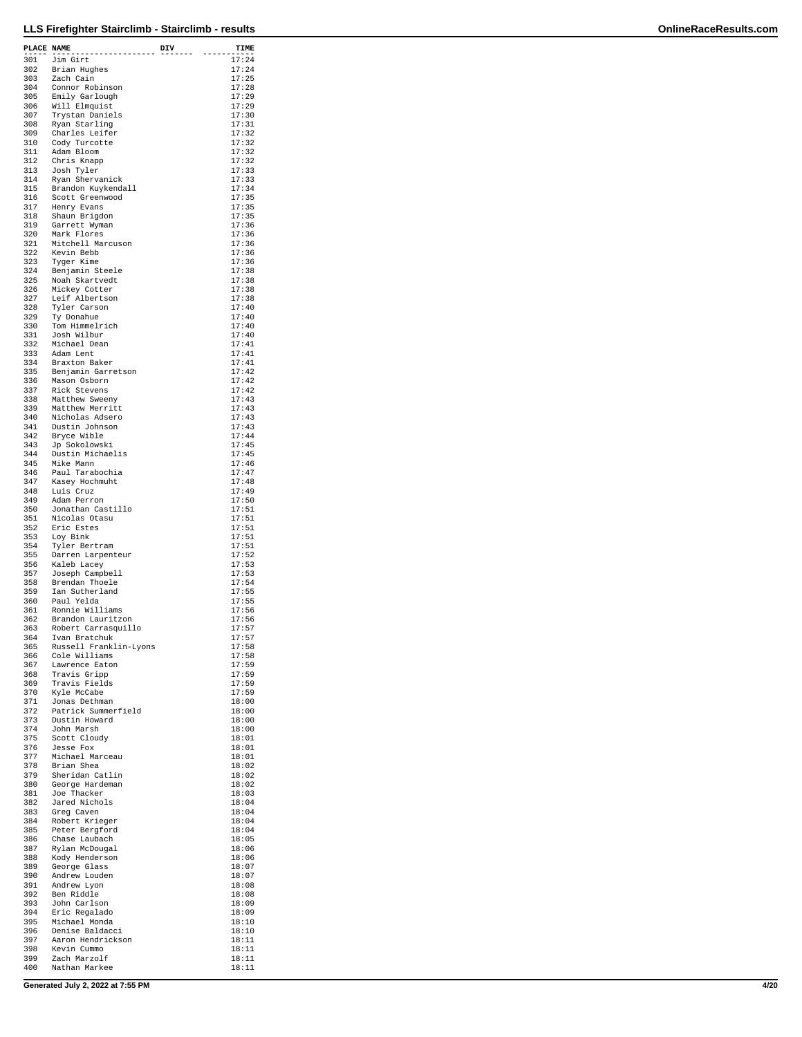| PLACE NAME |                                       | DIV | TIME           |
|------------|---------------------------------------|-----|----------------|
| 301        | ----------<br>Jim Girt                |     | 17:24          |
| 302        | Brian Hughes                          |     | 17:24          |
| 303        | Zach Cain                             |     | 17:25          |
| 304        | Connor Robinson                       |     | 17:28          |
| 305        | Emily Garlough                        |     | 17:29          |
| 306<br>307 | Will Elmquist                         |     | 17:29          |
| 308        | Trystan Daniels<br>Ryan Starling      |     | 17:30<br>17:31 |
| 309        | Charles Leifer                        |     | 17:32          |
| 310        | Cody Turcotte                         |     | 17:32          |
| 311        | Adam Bloom                            |     | 17:32          |
| 312        | Chris Knapp                           |     | 17:32          |
| 313        | Josh Tyler                            |     | 17:33          |
| 314<br>315 | Ryan Shervanick<br>Brandon Kuykendall |     | 17:33<br>17:34 |
| 316        | Scott Greenwood                       |     | 17:35          |
| 317        | Henry Evans                           |     | 17:35          |
| 318        | Shaun Brigdon                         |     | 17:35          |
| 319        | Garrett Wyman                         |     | 17:36          |
| 320<br>321 | Mark Flores<br>Mitchell Marcuson      |     | 17:36<br>17:36 |
| 322        | Kevin Bebb                            |     | 17:36          |
| 323        | Tyger Kime                            |     | 17:36          |
| 324        | Benjamin Steele                       |     | 17:38          |
| 325        | Noah Skartvedt                        |     | 17:38          |
| 326<br>327 | Mickey Cotter<br>Leif Albertson       |     | 17:38<br>17:38 |
| 328        | Tyler Carson                          |     | 17:40          |
| 329        | Ty Donahue                            |     | 17:40          |
| 330        | Tom Himmelrich                        |     | 17:40          |
| 331        | Josh Wilbur                           |     | 17:40          |
| 332<br>333 | Michael Dean<br>Adam Lent             |     | 17:41<br>17:41 |
| 334        | Braxton Baker                         |     | 17:41          |
| 335        | Benjamin Garretson                    |     | 17:42          |
| 336        | Mason Osborn                          |     | 17:42          |
| 337        | Rick Stevens                          |     | 17:42          |
| 338        | Matthew Sweeny                        |     | 17:43          |
| 339<br>340 | Matthew Merritt<br>Nicholas Adsero    |     | 17:43<br>17:43 |
| 341        | Dustin Johnson                        |     | 17:43          |
| 342        | Bryce Wible                           |     | 17:44          |
| 343        | Jp Sokolowski                         |     | 17:45          |
| 344        | Dustin Michaelis                      |     | 17:45          |
| 345<br>346 | Mike Mann<br>Paul Tarabochia          |     | 17:46<br>17:47 |
| 347        | Kasey Hochmuht                        |     | 17:48          |
| 348        | Luis Cruz                             |     | 17:49          |
| 349        | Adam Perron                           |     | 17:50          |
| 350        | Jonathan Castillo                     |     | 17:51          |
| 351<br>352 | Nicolas Otasu<br>Eric Estes           |     | 17:51<br>17:51 |
| 353        | Loy Bink                              |     | 17:51          |
| 354        | Tyler Bertram                         |     | 17:51          |
| 355        | Darren Larpenteur                     |     | 17:52          |
| 356        | Kaleb Lacey                           |     | 17:53          |
| 357<br>358 | Joseph Campbell<br>Brendan Thoele     |     | 17:53<br>17:54 |
| 359        | Ian Sutherland                        |     | 17:55          |
| 360        | Paul Yelda                            |     | 17:55          |
| 361        | Ronnie Williams                       |     | 17:56          |
| 362        | Brandon Lauritzon                     |     | 17:56          |
| 363        | Robert Carrasquillo<br>Ivan Bratchuk  |     | 17:57<br>17:57 |
| 364<br>365 | Russell Franklin-Lyons                |     | 17:58          |
| 366        | Cole Williams                         |     | 17:58          |
| 367        | Lawrence Eaton                        |     | 17:59          |
| 368        | Travis Gripp                          |     | 17:59          |
| 369<br>370 | Travis Fields<br>Kyle McCabe          |     | 17:59<br>17:59 |
| 371        | Jonas Dethman                         |     | 18:00          |
| 372        | Patrick Summerfield                   |     | 18:00          |
| 373        | Dustin Howard                         |     | 18:00          |
| 374        | John Marsh                            |     | 18:00          |
| 375<br>376 | Scott Cloudy<br>Jesse Fox             |     | 18:01<br>18:01 |
| 377        | Michael Marceau                       |     | 18:01          |
| 378        | Brian Shea                            |     | 18:02          |
| 379        | Sheridan Catlin                       |     | 18:02          |
| 380        | George Hardeman<br>Joe Thacker        |     | 18:02<br>18:03 |
| 381<br>382 | Jared Nichols                         |     | 18:04          |
| 383        | Greg Caven                            |     | 18:04          |
| 384        | Robert Krieger                        |     | 18:04          |
| 385        | Peter Bergford                        |     | 18:04          |
| 386<br>387 | Chase Laubach                         |     | 18:05<br>18:06 |
| 388        | Rylan McDougal<br>Kody Henderson      |     | 18:06          |
| 389        | George Glass                          |     | 18:07          |
| 390        | Andrew Louden                         |     | 18:07          |
| 391        | Andrew Lyon                           |     | 18:08          |
| 392<br>393 | Ben Riddle<br>John Carlson            |     | 18:08<br>18:09 |
| 394        | Eric Regalado                         |     | 18:09          |
| 395        | Michael Monda                         |     | 18:10          |
| 396        | Denise Baldacci                       |     | 18:10          |
| 397        | Aaron Hendrickson                     |     | 18:11          |
| 398<br>399 | Kevin Cummo<br>Zach Marzolf           |     | 18:11<br>18:11 |
| 400        | Nathan Markee                         |     | 18:11          |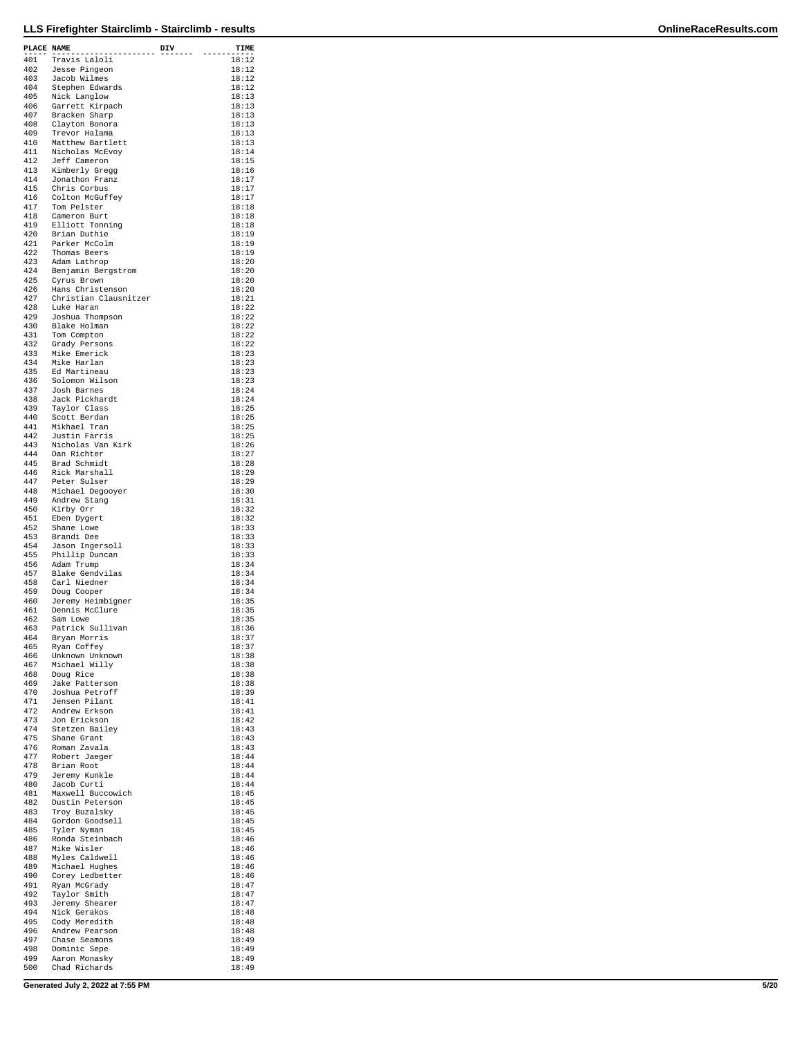| PLACE NAME | .                                   | DIV | TIME           |
|------------|-------------------------------------|-----|----------------|
|            | 401 Travis Laloli                   |     | 18:12          |
| 402<br>403 | Jesse Pingeon<br>Jacob Wilmes       |     | 18:12<br>18:12 |
| 404        | Stephen Edwards                     |     | 18:12          |
| 405        | Nick Langlow                        |     | 18:13          |
| 406<br>407 | Garrett Kirpach                     |     | 18:13<br>18:13 |
| 408        | Bracken Sharp<br>Clayton Bonora     |     | 18:13          |
| 409        | Trevor Halama                       |     | 18:13          |
| 410        | Matthew Bartlett                    |     | 18:13          |
| 411<br>412 | Nicholas McEvoy<br>Jeff Cameron     |     | 18:14<br>18:15 |
| 413        | Kimberly Gregg                      |     | 18:16          |
| 414        | Jonathon Franz                      |     | 18:17          |
| 415<br>416 | Chris Corbus                        |     | 18:17          |
| 417        | Colton McGuffey<br>Tom Pelster      |     | 18:17<br>18:18 |
| 418        | Cameron Burt                        |     | 18:18          |
| 419        | Elliott Tonning                     |     | 18:18          |
| 420<br>421 | Brian Duthie<br>Parker McColm       |     | 18:19<br>18:19 |
| 422        | Thomas Beers                        |     | 18:19          |
| 423        | Adam Lathrop                        |     | 18:20          |
| 424<br>425 | Benjamin Bergstrom<br>Cyrus Brown   |     | 18:20<br>18:20 |
| 426        | Hans Christenson                    |     | 18:20          |
| 427        | Christian Clausnitzer               |     | 18:21          |
| 428        | Luke Haran                          |     | 18:22          |
| 429<br>430 | Joshua Thompson<br>Blake Holman     |     | 18:22<br>18:22 |
| 431        | Tom Compton                         |     | 18:22          |
| 432        | Grady Persons                       |     | 18:22          |
| 433<br>434 | Mike Emerick<br>Mike Harlan         |     | 18:23<br>18:23 |
| 435        | Ed Martineau                        |     | 18:23          |
| 436        | Solomon Wilson                      |     | 18:23          |
| 437<br>438 | Josh Barnes                         |     | 18:24<br>18:24 |
| 439        | Jack Pickhardt<br>Taylor Class      |     | 18:25          |
| 440        | Scott Berdan                        |     | 18:25          |
| 441        | Mikhael Tran                        |     | 18:25          |
| 442<br>443 | Justin Farris<br>Nicholas Van Kirk  |     | 18:25<br>18:26 |
| 444        | Dan Richter                         |     | 18:27          |
| 445        | Brad Schmidt                        |     | 18:28          |
| 446<br>447 | Rick Marshall<br>Peter Sulser       |     | 18:29<br>18:29 |
| 448        | Michael Degooyer                    |     | 18:30          |
| 449        | Andrew Stang                        |     | 18:31          |
| 450        | Kirby Orr                           |     | 18:32          |
| 451<br>452 | Eben Dygert<br>Shane Lowe           |     | 18:32<br>18:33 |
| 453        | Brandi Dee                          |     | 18:33          |
| 454        | Jason Ingersoll                     |     | 18:33          |
| 455<br>456 | Phillip Duncan<br>Adam Trump        |     | 18:33<br>18:34 |
| 457        | Blake Gendvilas                     |     | 18:34          |
| 458        | Carl Niedner                        |     | 18:34          |
| 459        | Doug Cooper                         |     | 18:34          |
| 460<br>461 | Jeremy Heimbigner<br>Dennis McClure |     | 18:35<br>18:35 |
| 462        | Sam Lowe                            |     | 18:35          |
| 463        | Patrick Sullivan                    |     | 18:36          |
| 464<br>465 | Bryan Morris<br>Ryan Coffey         |     | 18:37<br>18:37 |
| 466        | Unknown Unknown                     |     | 18:38          |
| 467        | Michael Willy                       |     | 18:38          |
| 468        | Doug Rice                           |     | 18:38          |
| 469<br>470 | Jake Patterson<br>Joshua Petroff    |     | 18:38<br>18:39 |
| 471        | Jensen Pilant                       |     | 18:41          |
| 472        | Andrew Erkson                       |     | 18:41          |
| 473<br>474 | Jon Erickson<br>Stetzen Bailey      |     | 18:42<br>18:43 |
| 475        | Shane Grant                         |     | 18:43          |
| 476        | Roman Zavala                        |     | 18:43          |
| 477        | Robert Jaeger<br>Brian Root         |     | 18:44<br>18:44 |
| 478<br>479 | Jeremy Kunkle                       |     | 18:44          |
| 480        | Jacob Curti                         |     | 18:44          |
| 481        | Maxwell Buccowich                   |     | 18:45          |
| 482<br>483 | Dustin Peterson<br>Troy Buzalsky    |     | 18:45<br>18:45 |
| 484        | Gordon Goodsell                     |     | 18:45          |
| 485        | Tyler Nyman                         |     | 18:45          |
| 486<br>487 | Ronda Steinbach<br>Mike Wisler      |     | 18:46<br>18:46 |
| 488        | Myles Caldwell                      |     | 18:46          |
| 489        | Michael Hughes                      |     | 18:46          |
| 490        | Corey Ledbetter                     |     | 18:46          |
| 491<br>492 | Ryan McGrady<br>Taylor Smith        |     | 18:47<br>18:47 |
| 493        | Jeremy Shearer                      |     | 18:47          |
| 494        | Nick Gerakos                        |     | 18:48          |
| 495        | Cody Meredith                       |     | 18:48          |
| 496<br>497 | Andrew Pearson<br>Chase Seamons     |     | 18:48<br>18:49 |
| 498        | Dominic Sepe                        |     | 18:49          |
| 499        | Aaron Monasky                       |     | 18:49          |
| 500        | Chad Richards                       |     | 18:49          |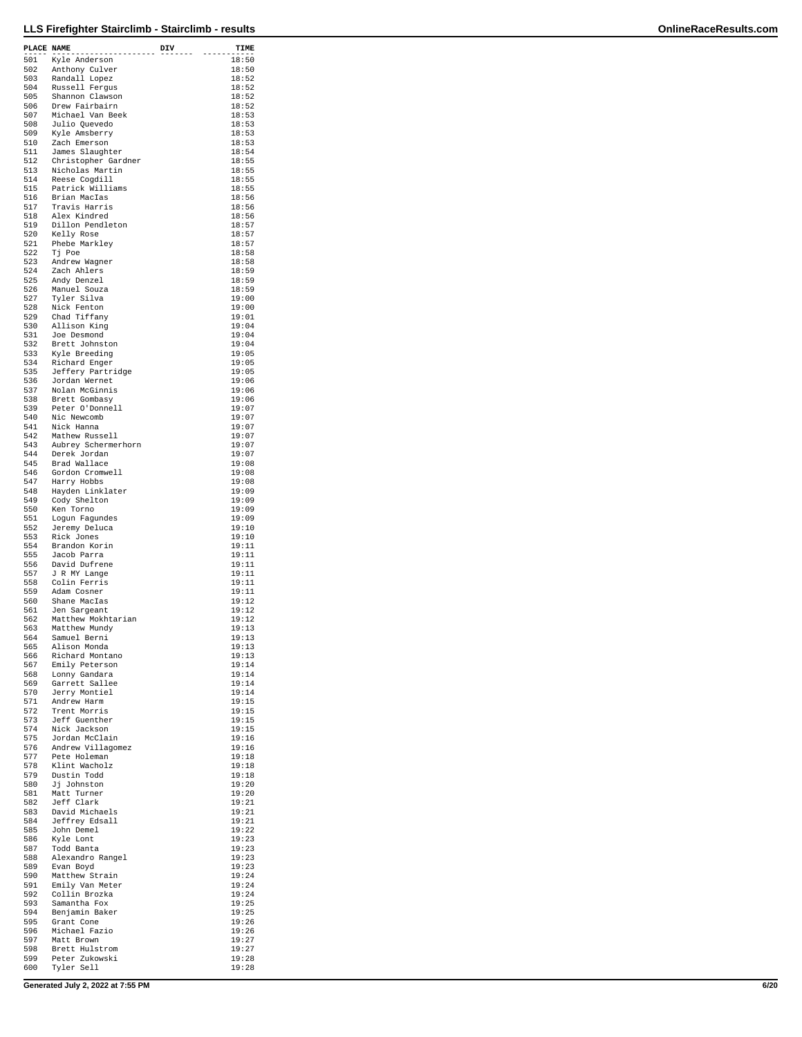| PLACE NAME |                                     | DIV | TIME           |
|------------|-------------------------------------|-----|----------------|
| 501        | Kyle Anderson                       |     | 18:50          |
| 502        | Anthony Culver                      |     | 18:50          |
| 503        | Randall Lopez                       |     | 18:52          |
| 504        | Russell Fergus                      |     | 18:52          |
| 505<br>506 | Shannon Clawson<br>Drew Fairbairn   |     | 18:52<br>18:52 |
| 507        | Michael Van Beek                    |     | 18:53          |
| 508        | Julio Quevedo                       |     | 18:53          |
| 509        | Kyle Amsberry                       |     | 18:53          |
| 510<br>511 | Zach Emerson<br>James Slaughter     |     | 18:53<br>18:54 |
| 512        | Christopher Gardner                 |     | 18:55          |
| 513        | Nicholas Martin                     |     | 18:55          |
| 514        | Reese Cogdill                       |     | 18:55          |
| 515<br>516 | Patrick Williams                    |     | 18:55<br>18:56 |
| 517        | Brian MacIas<br>Travis Harris       |     | 18:56          |
| 518        | Alex Kindred                        |     | 18:56          |
| 519        | Dillon Pendleton                    |     | 18:57          |
| 520        | Kelly Rose                          |     | 18:57          |
| 521<br>522 | Phebe Markley<br>Tj Poe             |     | 18:57<br>18:58 |
| 523        | Andrew Wagner                       |     | 18:58          |
| 524        | Zach Ahlers                         |     | 18:59          |
| 525        | Andy Denzel                         |     | 18:59          |
| 526<br>527 | Manuel Souza<br>Tyler Silva         |     | 18:59<br>19:00 |
| 528        | Nick Fenton                         |     | 19:00          |
| 529        | Chad Tiffany                        |     | 19:01          |
| 530        | Allison King                        |     | 19:04          |
| 531        | Joe Desmond                         |     | 19:04          |
| 532<br>533 | Brett Johnston<br>Kyle Breeding     |     | 19:04<br>19:05 |
| 534        | Richard Enger                       |     | 19:05          |
| 535        | Jeffery Partridge                   |     | 19:05          |
| 536        | Jordan Wernet                       |     | 19:06          |
| 537<br>538 | Nolan McGinnis                      |     | 19:06<br>19:06 |
| 539        | Brett Gombasy<br>Peter O'Donnell    |     | 19:07          |
| 540        | Nic Newcomb                         |     | 19:07          |
| 541        | Nick Hanna                          |     | 19:07          |
| 542        | Mathew Russell                      |     | 19:07          |
| 543<br>544 | Aubrey Schermerhorn<br>Derek Jordan |     | 19:07<br>19:07 |
| 545        | Brad Wallace                        |     | 19:08          |
| 546        | Gordon Cromwell                     |     | 19:08          |
| 547        | Harry Hobbs                         |     | 19:08          |
| 548<br>549 | Hayden Linklater<br>Cody Shelton    |     | 19:09<br>19:09 |
| 550        | Ken Torno                           |     | 19:09          |
| 551        | Logun Fagundes                      |     | 19:09          |
| 552        | Jeremy Deluca                       |     | 19:10          |
| 553<br>554 | Rick Jones                          |     | 19:10<br>19:11 |
| 555        | Brandon Korin<br>Jacob Parra        |     | 19:11          |
| 556        | David Dufrene                       |     | 19:11          |
| 557        | J R MY Lange                        |     | 19:11          |
| 558        | Colin Ferris                        |     | 19:11          |
| 559<br>560 | Adam Cosner<br>Shane MacIas         |     | 19:11<br>19:12 |
| 561        | Jen Sargeant                        |     | 19:12          |
| 562        | Matthew Mokhtarian                  |     | 19:12          |
| 563        | Matthew Mundy                       |     | 19:13          |
| 564<br>565 | Samuel Berni<br>Alison Monda        |     | 19:13<br>19:13 |
| 566        | Richard Montano                     |     | 19:13          |
| 567        | Emily Peterson                      |     | 19:14          |
| 568        | Lonny Gandara                       |     | 19:14          |
| 569<br>570 | Garrett Sallee<br>Jerry Montiel     |     | 19:14<br>19:14 |
| 571        | Andrew Harm                         |     | 19:15          |
| 572        | Trent Morris                        |     | 19:15          |
| 573        | Jeff Guenther                       |     | 19:15          |
| 574        | Nick Jackson                        |     | 19:15          |
| 575<br>576 | Jordan McClain<br>Andrew Villagomez |     | 19:16<br>19:16 |
| 577        | Pete Holeman                        |     | 19:18          |
| 578        | Klint Wacholz                       |     | 19:18          |
| 579        | Dustin Todd                         |     | 19:18          |
| 580<br>581 | Jj Johnston<br>Matt Turner          |     | 19:20<br>19:20 |
| 582        | Jeff Clark                          |     | 19:21          |
| 583        | David Michaels                      |     | 19:21          |
| 584        | Jeffrey Edsall                      |     | 19:21          |
| 585<br>586 | John Demel<br>Kyle Lont             |     | 19:22<br>19:23 |
| 587        | Todd Banta                          |     | 19:23          |
| 588        | Alexandro Rangel                    |     | 19:23          |
| 589        | Evan Boyd                           |     | 19:23          |
| 590        | Matthew Strain                      |     | 19:24          |
| 591<br>592 | Emily Van Meter<br>Collin Brozka    |     | 19:24<br>19:24 |
| 593        | Samantha Fox                        |     | 19:25          |
| 594        | Benjamin Baker                      |     | 19:25          |
| 595        | Grant Cone                          |     | 19:26          |
| 596<br>597 | Michael Fazio<br>Matt Brown         |     | 19:26<br>19:27 |
| 598        | Brett Hulstrom                      |     | 19:27          |
| 599        | Peter Zukowski                      |     | 19:28          |
| 600        | Tyler Sell                          |     | 19:28          |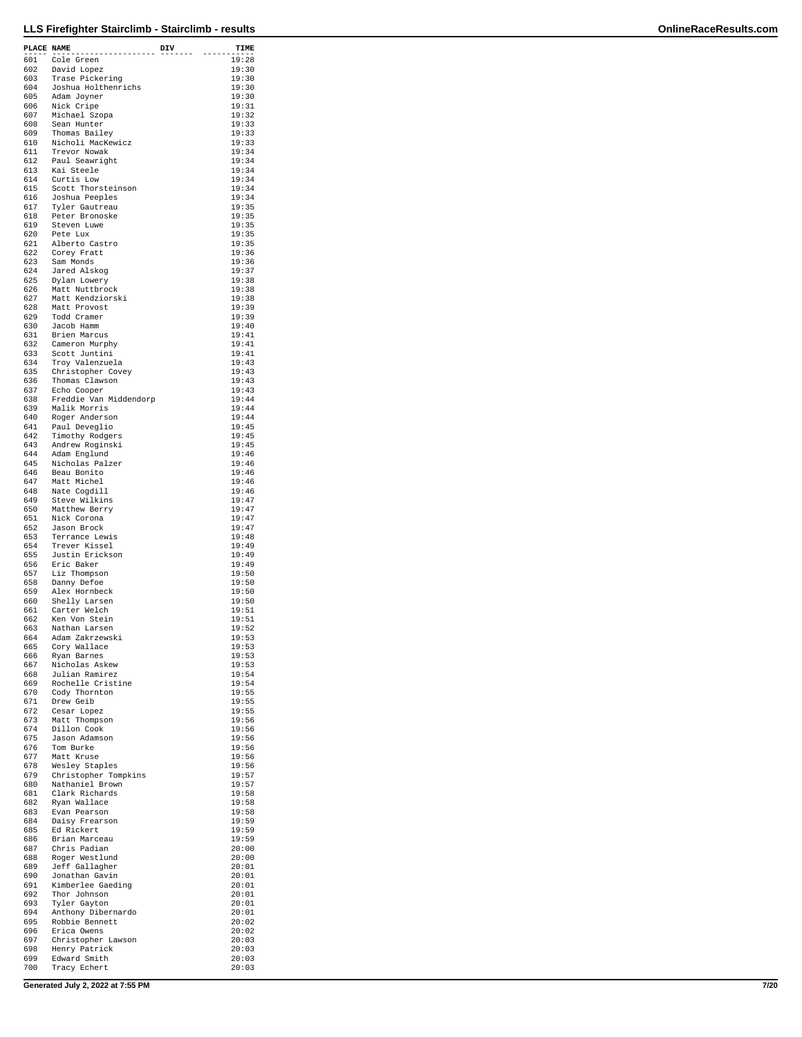| PLACE NAME | .                                      | DIV | TIME           |
|------------|----------------------------------------|-----|----------------|
| 601        | Cole Green                             |     | 19:28          |
| 602        | David Lopez                            |     | 19:30          |
| 603<br>604 | Trase Pickering<br>Joshua Holthenrichs |     | 19:30<br>19:30 |
| 605        | Adam Joyner                            |     | 19:30          |
| 606        | Nick Cripe                             |     | 19:31          |
| 607        | Michael Szopa                          |     | 19:32          |
| 608        | Sean Hunter                            |     | 19:33<br>19:33 |
| 609<br>610 | Thomas Bailey<br>Nicholi MacKewicz     |     | 19:33          |
| 611        | Trevor Nowak                           |     | 19:34          |
| 612        | Paul Seawright                         |     | 19:34          |
| 613        | Kai Steele                             |     | 19:34          |
| 614<br>615 | Curtis Low<br>Scott Thorsteinson       |     | 19:34<br>19:34 |
| 616        | Joshua Peeples                         |     | 19:34          |
| 617        | Tyler Gautreau                         |     | 19:35          |
| 618        | Peter Bronoske                         |     | 19:35          |
| 619        | Steven Luwe                            |     | 19:35          |
| 620<br>621 | Pete Lux<br>Alberto Castro             |     | 19:35<br>19:35 |
| 622        | Corey Fratt                            |     | 19:36          |
| 623        | Sam Monds                              |     | 19:36          |
| 624        | Jared Alskog                           |     | 19:37          |
| 625        | Dylan Lowery                           |     | 19:38<br>19:38 |
| 626<br>627 | Matt Nuttbrock<br>Matt Kendziorski     |     | 19:38          |
| 628        | Matt Provost                           |     | 19:39          |
| 629        | Todd Cramer                            |     | 19:39          |
| 630        | Jacob Hamm                             |     | 19:40          |
| 631<br>632 | Brien Marcus<br>Cameron Murphy         |     | 19:41<br>19:41 |
| 633        | Scott Juntini                          |     | 19:41          |
| 634        | Troy Valenzuela                        |     | 19:43          |
| 635        | Christopher Covey                      |     | 19:43          |
| 636        | Thomas Clawson                         |     | 19:43          |
| 637<br>638 | Echo Cooper<br>Freddie Van Middendorp  |     | 19:43<br>19:44 |
| 639        | Malik Morris                           |     | 19:44          |
| 640        | Roger Anderson                         |     | 19:44          |
| 641        | Paul Deveglio                          |     | 19:45          |
| 642<br>643 | Timothy Rodgers                        |     | 19:45<br>19:45 |
| 644        | Andrew Roginski<br>Adam Englund        |     | 19:46          |
| 645        | Nicholas Palzer                        |     | 19:46          |
| 646        | Beau Bonito                            |     | 19:46          |
| 647        | Matt Michel                            |     | 19:46          |
| 648<br>649 | Nate Cogdill<br>Steve Wilkins          |     | 19:46<br>19:47 |
| 650        | Matthew Berry                          |     | 19:47          |
| 651        | Nick Corona                            |     | 19:47          |
| 652        | Jason Brock                            |     | 19:47          |
| 653        | Terrance Lewis                         |     | 19:48          |
| 654<br>655 | Trever Kissel<br>Justin Erickson       |     | 19:49<br>19:49 |
| 656        | Eric Baker                             |     | 19:49          |
| 657        | Liz Thompson                           |     | 19:50          |
| 658        | Danny Defoe                            |     | 19:50          |
| 659<br>660 | Alex Hornbeck                          |     | 19:50<br>19:50 |
| 661        | Shelly Larsen<br>Carter Welch          |     | 19:51          |
| 662        | Ken Von Stein                          |     | 19:51          |
| 663        | Nathan Larsen                          |     | 19:52          |
| 664        | Adam Zakrzewski                        |     | 19:53          |
| 665<br>666 | Cory Wallace<br>Ryan Barnes            |     | 19:53<br>19:53 |
| 667        | Nicholas Askew                         |     | 19:53          |
| 668        | Julian Ramirez                         |     | 19:54          |
| 669        | Rochelle Cristine                      |     | 19:54          |
| 670<br>671 | Cody Thornton<br>Drew Geib             |     | 19:55<br>19:55 |
| 672        | Cesar Lopez                            |     | 19:55          |
| 673        | Matt Thompson                          |     | 19:56          |
| 674        | Dillon Cook                            |     | 19:56          |
| 675        | Jason Adamson                          |     | 19:56          |
| 676<br>677 | Tom Burke<br>Matt Kruse                |     | 19:56<br>19:56 |
| 678        | Wesley Staples                         |     | 19:56          |
| 679        | Christopher Tompkins                   |     | 19:57          |
| 680        | Nathaniel Brown                        |     | 19:57          |
| 681<br>682 | Clark Richards<br>Ryan Wallace         |     | 19:58<br>19:58 |
| 683        | Evan Pearson                           |     | 19:58          |
| 684        | Daisy Frearson                         |     | 19:59          |
| 685        | Ed Rickert                             |     | 19:59          |
| 686        | Brian Marceau                          |     | 19:59<br>20:00 |
| 687<br>688 | Chris Padian<br>Roger Westlund         |     | 20:00          |
| 689        | Jeff Gallagher                         |     | 20:01          |
| 690        | Jonathan Gavin                         |     | 20:01          |
| 691        | Kimberlee Gaeding                      |     | 20:01          |
| 692<br>693 | Thor Johnson                           |     | 20:01<br>20:01 |
| 694        | Tyler Gayton<br>Anthony Dibernardo     |     | 20:01          |
| 695        | Robbie Bennett                         |     | 20:02          |
| 696        | Erica Owens                            |     | 20:02          |
| 697        | Christopher Lawson                     |     | 20:03          |
| 698<br>699 | Henry Patrick<br>Edward Smith          |     | 20:03<br>20:03 |
| 700        | Tracy Echert                           |     | 20:03          |

**Generated July 2, 2022 at 7:55 PM 7/20**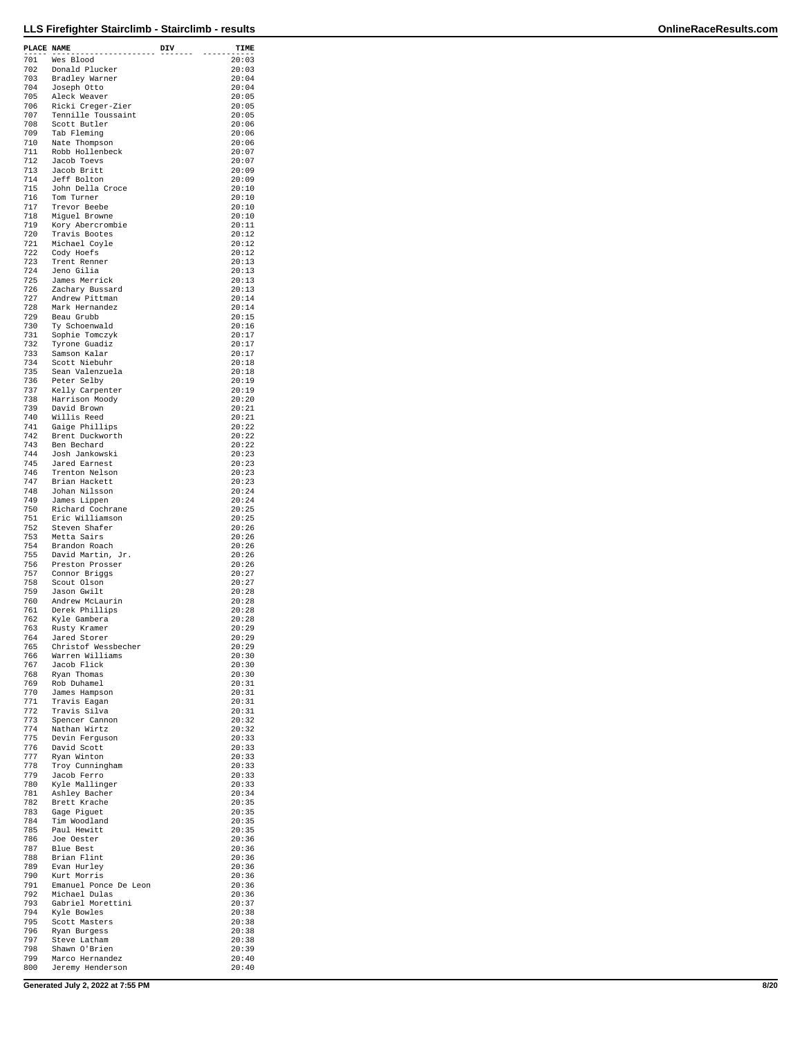| PLACE NAME |                                     | DIV | TIME           |
|------------|-------------------------------------|-----|----------------|
| 701        | --------<br>Wes Blood               |     | 20:03          |
| 702        | Donald Plucker                      |     | 20:03          |
| 703        | Bradley Warner                      |     | 20:04          |
| 704        | Joseph Otto                         |     | 20:04          |
| 705        | Aleck Weaver                        |     | 20:05          |
| 706        | Ricki Creger-Zier                   |     | 20:05          |
| 707<br>708 | Tennille Toussaint<br>Scott Butler  |     | 20:05<br>20:06 |
| 709        | Tab Fleming                         |     | 20:06          |
| 710        | Nate Thompson                       |     | 20:06          |
| 711        | Robb Hollenbeck                     |     | 20:07          |
| 712        | Jacob Toevs                         |     | 20:07          |
| 713        | Jacob Britt                         |     | 20:09          |
| 714<br>715 | Jeff Bolton<br>John Della Croce     |     | 20:09<br>20:10 |
| 716        | Tom Turner                          |     | 20:10          |
| 717        | Trevor Beebe                        |     | 20:10          |
| 718        | Miguel Browne                       |     | 20:10          |
| 719        | Kory Abercrombie                    |     | 20:11          |
| 720<br>721 | Travis Bootes<br>Michael Coyle      |     | 20:12<br>20:12 |
| 722        | Cody Hoefs                          |     | 20:12          |
| 723        | Trent Renner                        |     | 20:13          |
| 724        | Jeno Gilia                          |     | 20:13          |
| 725        | James Merrick                       |     | 20:13          |
| 726<br>727 | Zachary Bussard<br>Andrew Pittman   |     | 20:13<br>20:14 |
| 728        | Mark Hernandez                      |     | 20:14          |
| 729        | Beau Grubb                          |     | 20:15          |
| 730        | Ty Schoenwald                       |     | 20:16          |
| 731        | Sophie Tomczyk                      |     | 20:17          |
| 732<br>733 | Tyrone Guadiz                       |     | 20:17<br>20:17 |
| 734        | Samson Kalar<br>Scott Niebuhr       |     | 20:18          |
| 735        | Sean Valenzuela                     |     | 20:18          |
| 736        | Peter Selby                         |     | 20:19          |
| 737        | Kelly Carpenter                     |     | 20:19          |
| 738        | Harrison Moody                      |     | 20:20          |
| 739<br>740 | David Brown<br>Willis Reed          |     | 20:21<br>20:21 |
| 741        | Gaige Phillips                      |     | 20:22          |
| 742        | Brent Duckworth                     |     | 20:22          |
| 743        | Ben Bechard                         |     | 20:22          |
| 744<br>745 | Josh Jankowski<br>Jared Earnest     |     | 20:23<br>20:23 |
| 746        | Trenton Nelson                      |     | 20:23          |
| 747        | Brian Hackett                       |     | 20:23          |
| 748        | Johan Nilsson                       |     | 20:24          |
| 749        | James Lippen                        |     | 20:24          |
| 750<br>751 | Richard Cochrane<br>Eric Williamson |     | 20:25<br>20:25 |
| 752        | Steven Shafer                       |     | 20:26          |
| 753        | Metta Sairs                         |     | 20:26          |
| 754        | Brandon Roach                       |     | 20:26          |
| 755        | David Martin, Jr.                   |     | 20:26          |
| 756<br>757 | Preston Prosser<br>Connor Briggs    |     | 20:26<br>20:27 |
| 758        | Scout Olson                         |     | 20:27          |
| 759        | Jason Gwilt                         |     | 20:28          |
| 760        | Andrew McLaurin                     |     | 20:28          |
| 761<br>762 | Derek Phillips                      |     | 20:28<br>20:28 |
| 763        | Kyle Gambera<br>Rusty Kramer        |     | 20:29          |
| 764        | Jared Storer                        |     | 20:29          |
| 765        | Christof Wessbecher                 |     | 20:29          |
| 766        | Warren Williams                     |     | 20:30          |
| 767<br>768 | Jacob Flick<br>Ryan Thomas          |     | 20:30<br>20:30 |
| 769        | Rob Duhamel                         |     | 20:31          |
| 770        | James Hampson                       |     | 20:31          |
| 771        | Travis Eagan                        |     | 20:31          |
| 772<br>773 | Travis Silva                        |     | 20:31<br>20:32 |
| 774        | Spencer Cannon<br>Nathan Wirtz      |     | 20:32          |
| 775        | Devin Ferguson                      |     | 20:33          |
| 776        | David Scott                         |     | 20:33          |
| 777        | Ryan Winton                         |     | 20:33          |
| 778<br>779 | Troy Cunningham<br>Jacob Ferro      |     | 20:33<br>20:33 |
| 780        | Kyle Mallinger                      |     | 20:33          |
| 781        | Ashley Bacher                       |     | 20:34          |
| 782        | Brett Krache                        |     | 20:35          |
| 783<br>784 | Gage Piguet<br>Tim Woodland         |     | 20:35<br>20:35 |
| 785        | Paul Hewitt                         |     | 20:35          |
| 786        | Joe Oester                          |     | 20:36          |
| 787        | Blue Best                           |     | 20:36          |
| 788        | Brian Flint                         |     | 20:36          |
| 789<br>790 | Evan Hurley<br>Kurt Morris          |     | 20:36<br>20:36 |
| 791        | Emanuel Ponce De Leon               |     | 20:36          |
| 792        | Michael Dulas                       |     | 20:36          |
| 793        | Gabriel Morettini                   |     | 20:37          |
| 794<br>795 | Kyle Bowles<br>Scott Masters        |     | 20:38<br>20:38 |
| 796        | Ryan Burgess                        |     | 20:38          |
| 797        | Steve Latham                        |     | 20:38          |
| 798        | Shawn O'Brien                       |     | 20:39          |
| 799<br>800 | Marco Hernandez<br>Jeremy Henderson |     | 20:40<br>20:40 |

**Generated July 2, 2022 at 7:55 PM 8/20**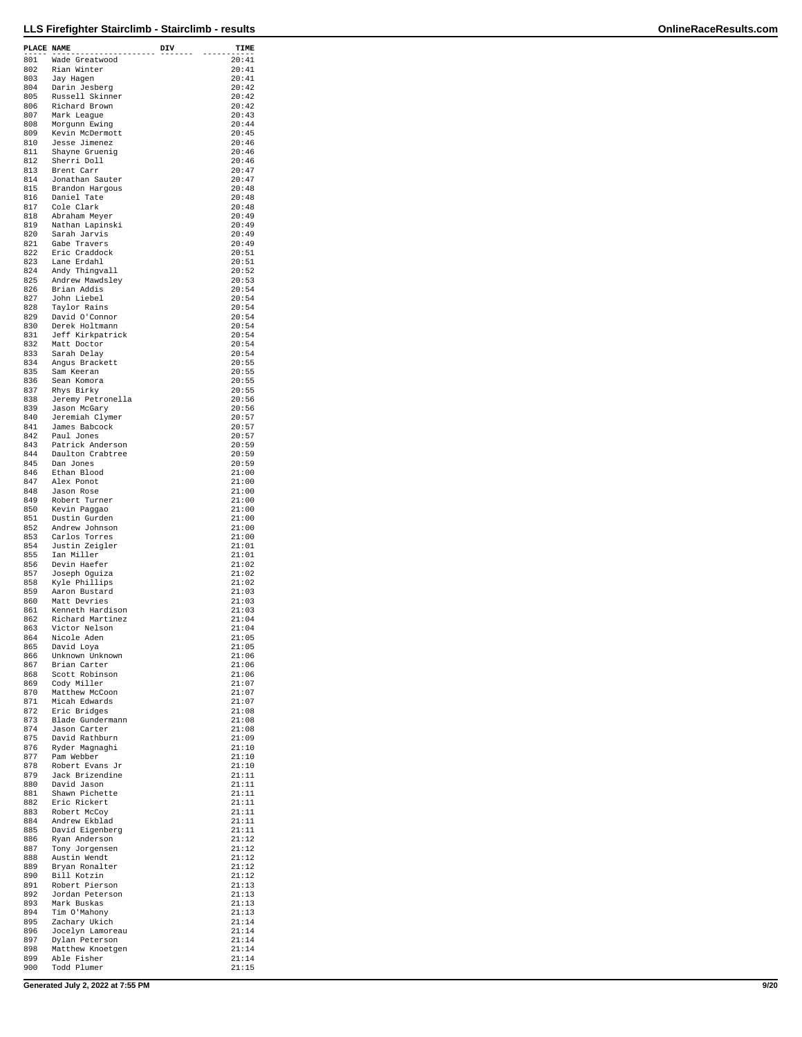| PLACE NAME |                                    | DIV | TIME           |
|------------|------------------------------------|-----|----------------|
| 801        | Wade Greatwood                     |     | 20:41          |
| 802        | Rian Winter                        |     | 20:41          |
| 803        | Jay Hagen                          |     | 20:41<br>20:42 |
| 804<br>805 | Darin Jesberg<br>Russell Skinner   |     | 20:42          |
| 806        | Richard Brown                      |     | 20:42          |
| 807        | Mark League                        |     | 20:43          |
| 808<br>809 | Morgunn Ewing<br>Kevin McDermott   |     | 20:44<br>20:45 |
| 810        | Jesse Jimenez                      |     | 20:46          |
| 811        | Shayne Gruenig                     |     | 20:46          |
| 812<br>813 | Sherri Doll<br>Brent Carr          |     | 20:46<br>20:47 |
| 814        | Jonathan Sauter                    |     | 20:47          |
| 815        | Brandon Hargous                    |     | 20:48          |
| 816        | Daniel Tate                        |     | 20:48          |
| 817<br>818 | Cole Clark<br>Abraham Mever        |     | 20:48<br>20:49 |
| 819        | Nathan Lapinski                    |     | 20:49          |
| 820        | Sarah Jarvis                       |     | 20:49          |
| 821<br>822 | Gabe Travers<br>Eric Craddock      |     | 20:49<br>20:51 |
| 823        | Lane Erdahl                        |     | 20:51          |
| 824        | Andy Thingvall                     |     | 20:52          |
| 825        | Andrew Mawdsley                    |     | 20:53          |
| 826<br>827 | Brian Addis<br>John Liebel         |     | 20:54<br>20:54 |
| 828        | Taylor Rains                       |     | 20:54          |
| 829        | David O'Connor                     |     | 20:54          |
| 830<br>831 | Derek Holtmann<br>Jeff Kirkpatrick |     | 20:54<br>20:54 |
| 832        | Matt Doctor                        |     | 20:54          |
| 833        | Sarah Delay                        |     | 20:54          |
| 834        | Angus Brackett                     |     | 20:55          |
| 835<br>836 | Sam Keeran<br>Sean Komora          |     | 20:55<br>20:55 |
| 837        | Rhys Birky                         |     | 20:55          |
| 838        | Jeremy Petronella                  |     | 20:56          |
| 839        | Jason McGary                       |     | 20:56          |
| 840<br>841 | Jeremiah Clymer<br>James Babcock   |     | 20:57<br>20:57 |
| 842        | Paul Jones                         |     | 20:57          |
| 843        | Patrick Anderson                   |     | 20:59          |
| 844<br>845 | Daulton Crabtree<br>Dan Jones      |     | 20:59<br>20:59 |
| 846        | Ethan Blood                        |     | 21:00          |
| 847        | Alex Ponot                         |     | 21:00          |
| 848        | Jason Rose                         |     | 21:00          |
| 849        | Robert Turner                      |     | 21:00<br>21:00 |
| 850<br>851 | Kevin Paggao<br>Dustin Gurden      |     | 21:00          |
| 852        | Andrew Johnson                     |     | 21:00          |
| 853        | Carlos Torres                      |     | 21:00          |
| 854<br>855 | Justin Zeigler<br>Ian Miller       |     | 21:01<br>21:01 |
| 856        | Devin Haefer                       |     | 21:02          |
| 857        | Joseph Oquiza                      |     | 21:02          |
| 858        | Kyle Phillips                      |     | 21:02          |
| 859<br>860 | Aaron Bustard<br>Matt Devries      |     | 21:03<br>21:03 |
| 861        | Kenneth Hardison                   |     | 21:03          |
| 862        | Richard Martinez                   |     | 21:04          |
| 863        | Victor Nelson                      |     | 21:04<br>21:05 |
| 864<br>865 | Nicole Aden<br>David Loya          |     | 21:05          |
| 866        | Unknown Unknown                    |     | 21:06          |
| 867        | Brian Carter                       |     | 21:06          |
| 868<br>869 | Scott Robinson<br>Cody Miller      |     | 21:06<br>21:07 |
| 870        | Matthew McCoon                     |     | 21:07          |
| 871        | Micah Edwards                      |     | 21:07          |
| 872<br>873 | Eric Bridges<br>Blade Gundermann   |     | 21:08<br>21:08 |
| 874        | Jason Carter                       |     | 21:08          |
| 875        | David Rathburn                     |     | 21:09          |
| 876        | Ryder Magnaghi                     |     | 21:10          |
| 877<br>878 | Pam Webber<br>Robert Evans Jr      |     | 21:10<br>21:10 |
| 879        | Jack Brizendine                    |     | 21:11          |
| 880        | David Jason                        |     | 21:11          |
| 881<br>882 | Shawn Pichette<br>Eric Rickert     |     | 21:11<br>21:11 |
| 883        | Robert McCoy                       |     | 21:11          |
| 884        | Andrew Ekblad                      |     | 21:11          |
| 885        | David Eigenberg                    |     | 21:11          |
| 886<br>887 | Ryan Anderson<br>Tony Jorgensen    |     | 21:12<br>21:12 |
| 888        | Austin Wendt                       |     | 21:12          |
| 889        | Bryan Ronalter                     |     | 21:12          |
| 890        | Bill Kotzin                        |     | 21:12          |
| 891<br>892 | Robert Pierson<br>Jordan Peterson  |     | 21:13<br>21:13 |
| 893        | Mark Buskas                        |     | 21:13          |
| 894        | Tim O'Mahony                       |     | 21:13          |
| 895        | Zachary Ukich                      |     | 21:14          |
| 896<br>897 | Jocelyn Lamoreau<br>Dylan Peterson |     | 21:14<br>21:14 |
| 898        | Matthew Knoetgen                   |     | 21:14          |
| 899        | Able Fisher                        |     | 21:14          |
| 900        | Todd Plumer                        |     | 21:15          |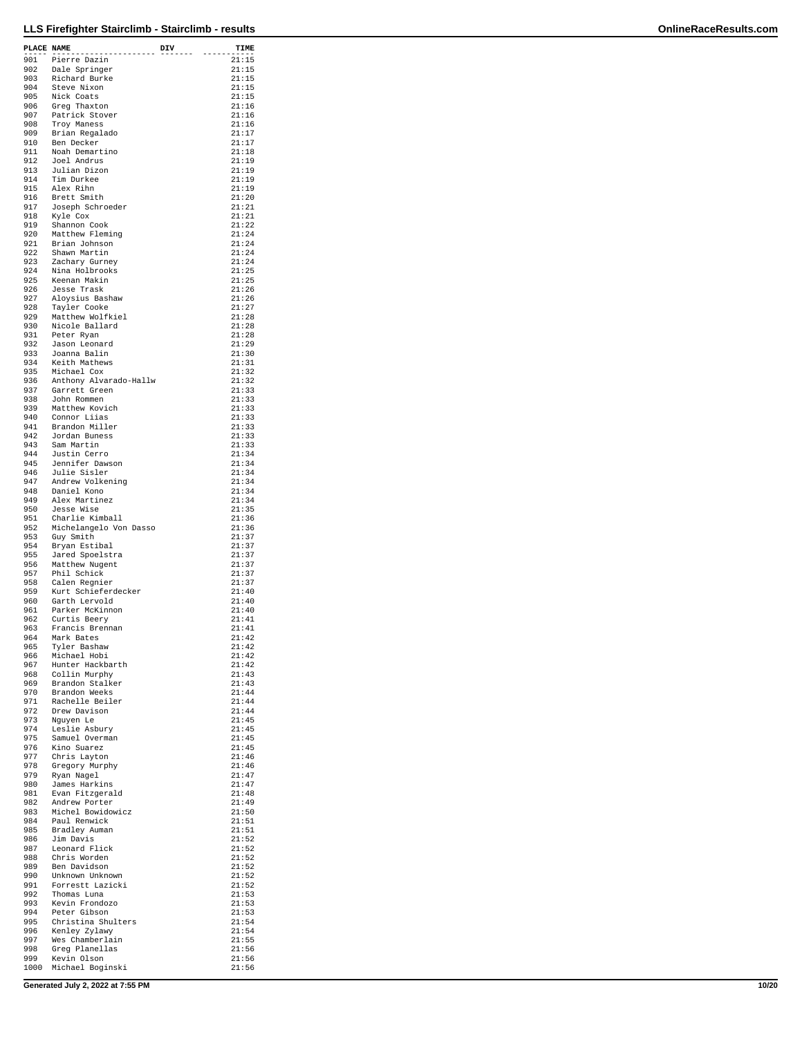| PLACE NAME | .                                         | DIV | TIME           |
|------------|-------------------------------------------|-----|----------------|
| 901        | Pierre Dazin                              |     | 21:15          |
| 902<br>903 | Dale Springer<br>Richard Burke            |     | 21:15<br>21:15 |
| 904        | Steve Nixon                               |     | 21:15          |
| 905<br>906 | Nick Coats                                |     | 21:15          |
| 907        | Greg Thaxton<br>Patrick Stover            |     | 21:16<br>21:16 |
| 908        | Troy Maness                               |     | 21:16          |
| 909<br>910 | Brian Regalado<br>Ben Decker              |     | 21:17<br>21:17 |
| 911        | Noah Demartino                            |     | 21:18          |
| 912<br>913 | Joel Andrus<br>Julian Dizon               |     | 21:19<br>21:19 |
| 914        | Tim Durkee                                |     | 21:19          |
| 915<br>916 | Alex Rihn<br>Brett Smith                  |     | 21:19<br>21:20 |
| 917        | Joseph Schroeder                          |     | 21:21          |
| 918<br>919 | Kyle Cox<br>Shannon Cook                  |     | 21:21<br>21:22 |
| 920        | Matthew Fleming                           |     | 21:24          |
| 921<br>922 | Brian Johnson<br>Shawn Martin             |     | 21:24          |
| 923        | Zachary Gurney                            |     | 21:24<br>21:24 |
| 924        | Nina Holbrooks                            |     | 21:25          |
| 925<br>926 | Keenan Makin<br>Jesse Trask               |     | 21:25<br>21:26 |
| 927        | Aloysius Bashaw                           |     | 21:26          |
| 928<br>929 | Tayler Cooke<br>Matthew Wolfkiel          |     | 21:27<br>21:28 |
| 930        | Nicole Ballard                            |     | 21:28          |
| 931<br>932 | Peter Ryan<br>Jason Leonard               |     | 21:28<br>21:29 |
| 933        | Joanna Balin                              |     | 21:30          |
| 934<br>935 | Keith Mathews<br>Michael Cox              |     | 21:31<br>21:32 |
| 936        | Anthony Alvarado-Hallw                    |     | 21:32          |
| 937        | Garrett Green                             |     | 21:33          |
| 938<br>939 | John Rommen<br>Matthew Kovich             |     | 21:33<br>21:33 |
| 940        | Connor Liias                              |     | 21:33          |
| 941<br>942 | Brandon Miller<br>Jordan Buness           |     | 21:33<br>21:33 |
| 943        | Sam Martin                                |     | 21:33          |
| 944<br>945 | Justin Cerro<br>Jennifer Dawson           |     | 21:34<br>21:34 |
| 946        | Julie Sisler                              |     | 21:34          |
| 947<br>948 | Andrew Volkening<br>Daniel Kono           |     | 21:34<br>21:34 |
| 949        | Alex Martinez                             |     | 21:34          |
| 950        | Jesse Wise                                |     | 21:35          |
| 951<br>952 | Charlie Kimball<br>Michelangelo Von Dasso |     | 21:36<br>21:36 |
| 953        | Guy Smith                                 |     | 21:37          |
| 954<br>955 | Bryan Estibal<br>Jared Spoelstra          |     | 21:37<br>21:37 |
| 956        | Matthew Nugent                            |     | 21:37          |
| 957<br>958 | Phil Schick<br>Calen Regnier              |     | 21:37<br>21:37 |
| 959        | Kurt Schieferdecker                       |     | 21:40          |
| 960<br>961 | Garth Lervold<br>Parker McKinnon          |     | 21:40<br>21:40 |
| 962        | Curtis Beery                              |     | 21:41          |
| 963<br>964 | Francis Brennan<br>Mark Bates             |     | 21:41<br>21:42 |
| 965        | Tyler Bashaw                              |     | 21:42          |
| 966        | Michael Hobi<br>Hunter Hackbarth          |     | 21:42<br>21:42 |
| 967<br>968 | Collin Murphy                             |     | 21:43          |
| 969<br>970 | Brandon Stalker<br>Brandon Weeks          |     | 21:43          |
| 971        | Rachelle Beiler                           |     | 21:44<br>21:44 |
| 972        | Drew Davison                              |     | 21:44          |
| 973<br>974 | Nguyen Le<br>Leslie Asbury                |     | 21:45<br>21:45 |
| 975        | Samuel Overman                            |     | 21:45          |
| 976<br>977 | Kino Suarez<br>Chris Layton               |     | 21:45<br>21:46 |
| 978        | Gregory Murphy                            |     | 21:46          |
| 979<br>980 | Ryan Nagel<br>James Harkins               |     | 21:47<br>21:47 |
| 981        | Evan Fitzgerald                           |     | 21:48          |
| 982<br>983 | Andrew Porter<br>Michel Bowidowicz        |     | 21:49<br>21:50 |
| 984        | Paul Renwick                              |     | 21:51          |
| 985<br>986 | Bradley Auman<br>Jim Davis                |     | 21:51<br>21:52 |
| 987        | Leonard Flick                             |     | 21:52          |
| 988<br>989 | Chris Worden<br>Ben Davidson              |     | 21:52<br>21:52 |
| 990        | Unknown Unknown                           |     | 21:52          |
| 991        | Forrestt Lazicki                          |     | 21:52          |
| 992<br>993 | Thomas Luna<br>Kevin Frondozo             |     | 21:53<br>21:53 |
| 994        | Peter Gibson                              |     | 21:53          |
| 995<br>996 | Christina Shulters<br>Kenley Zylawy       |     | 21:54<br>21:54 |
| 997        | Wes Chamberlain                           |     | 21:55          |
| 998<br>999 | Greg Planellas<br>Kevin Olson             |     | 21:56<br>21:56 |
| 1000       | Michael Boginski                          |     | 21:56          |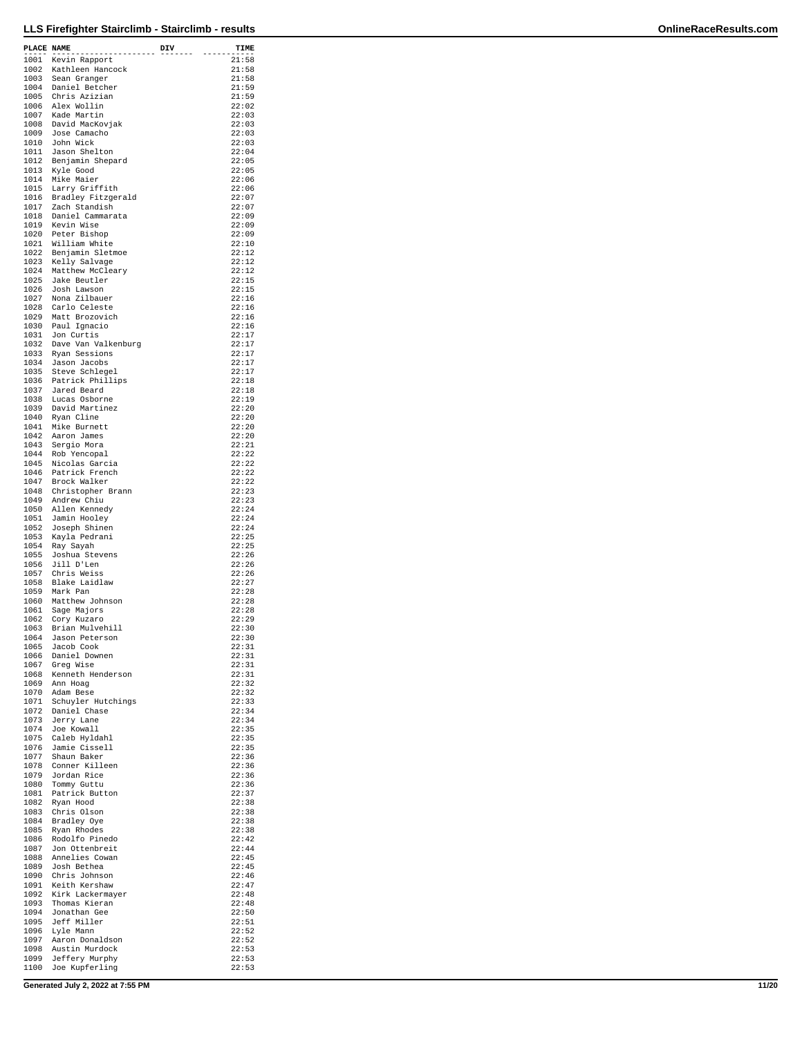| PLACE NAME   |                                               | DIV | TIME            |
|--------------|-----------------------------------------------|-----|-----------------|
|              | .<br>1001 Kevin Rapport                       |     | ------<br>21:58 |
|              | 1002 Kathleen Hancock                         |     | 21:58           |
|              | 1003 Sean Granger                             |     | 21:58           |
|              | 1004 Daniel Betcher<br>1005 Chris Azizian     |     | 21:59<br>21:59  |
|              | 1006 Alex Wollin                              |     | 22:02           |
|              | 1007 Kade Martin<br>1008 David MacKovjak      |     | 22:03           |
|              | 1009 Jose Camacho                             |     | 22:03<br>22:03  |
|              | 1010 John Wick                                |     | 22:03           |
|              | 1011 Jason Shelton                            |     | 22:04           |
|              | 1012 Benjamin Shepard<br>1013 Kyle Good       |     | 22:05<br>22:05  |
|              | 1014 Mike Maier                               |     | 22:06           |
|              | 1015 Larry Griffith                           |     | 22:06<br>22:07  |
|              | 1016 Bradley Fitzgerald<br>1017 Zach Standish |     | 22:07           |
|              | 1018 Daniel Cammarata                         |     | 22:09           |
|              | 1019 Kevin Wise                               |     | 22:09<br>22:09  |
|              | 1020 Peter Bishop<br>1021 William White       |     | 22:10           |
|              | 1022 Benjamin Sletmoe<br>1023 Kelly Salvage   |     | 22:12           |
|              | 1024 Matthew McCleary                         |     | 22:12<br>22:12  |
|              | 1025 Jake Beutler                             |     | 22:15           |
|              | 1026 Josh Lawson                              |     | 22:15           |
|              | 1027 Nona Zilbauer<br>1028 Carlo Celeste      |     | 22:16<br>22:16  |
|              | 1029 Matt Brozovich                           |     | 22:16           |
|              | 1030 Paul Ignacio                             |     | 22:16           |
|              | 1031 Jon Curtis<br>1032 Dave Van Valkenburg   |     | 22:17<br>22:17  |
|              |                                               |     | 22:17           |
|              | 1033 Ryan Sessions<br>1034 Jason Jacobs       |     | 22:17           |
|              | 1035 Steve Schlegel<br>1036 Patrick Phillips  |     | 22:17<br>22:18  |
|              | 1037 Jared Beard                              |     | 22:18           |
|              | 1038 Lucas Osborne                            |     | 22:19           |
|              | 1039 David Martinez<br>1040 Ryan Cline        |     | 22:20<br>22:20  |
|              | 1041 Mike Burnett                             |     | 22:20           |
|              | 1042 Aaron James                              |     | 22:20           |
|              | 1043 Sergio Mora<br>1044 Rob Yencopal         |     | 22:21<br>22:22  |
|              | 1045 Nicolas Garcia                           |     | 22:22           |
|              | 1046 Patrick French<br>1047 Brock Walker      |     | 22:22           |
|              | 1048 Christopher Brann                        |     | 22:22<br>22:23  |
|              | 1049 Andrew Chiu                              |     | 22:23           |
|              | 1050 Allen Kennedy                            |     | 22:24           |
| 1052         | 1051 Jamin Hooley<br>Joseph Shinen            |     | 22:24<br>22:24  |
|              | 1053 Kayla Pedrani                            |     | 22:25           |
|              | 1054 Ray Sayah                                |     | 22:25           |
|              | 1055 Joshua Stevens<br>1056 Jill D'Len        |     | 22:26<br>22:26  |
|              | 1057 Chris Weiss                              |     | 22:26           |
|              | 1058 Blake Laidlaw<br>1059 Mark Pan           |     | 22:27           |
|              | 1060 Matthew Johnson                          |     | 22:28<br>22:28  |
|              | 1061 Sage Majors                              |     | 22:28           |
|              | 1062 Cory Kuzaro                              |     | 22:29<br>22:30  |
| 1063         | Brian Mulvehill<br>1064 Jason Peterson        |     | 22:30           |
|              | 1065 Jacob Cook                               |     | 22:31           |
| 1066<br>1067 | Daniel Downen<br>Greg Wise                    |     | 22:31<br>22:31  |
|              | 1068 Kenneth Henderson                        |     | 22:31           |
|              | 1069 Ann Hoag                                 |     | 22:32           |
|              | 1070 Adam Bese<br>1071 Schuyler Hutchings     |     | 22:32<br>22:33  |
|              | 1072 Daniel Chase                             |     | 22:34           |
|              | 1073 Jerry Lane                               |     | 22:34           |
|              | 1074 Joe Kowall<br>1075 Caleb Hyldahl         |     | 22:35<br>22:35  |
|              | 1076 Jamie Cissell                            |     | 22:35           |
| 1077         | Shaun Baker                                   |     | 22:36           |
| 1079         | 1078 Conner Killeen<br>Jordan Rice            |     | 22:36<br>22:36  |
| 1080         | Tommy Guttu                                   |     | 22:36           |
| 1081         | Patrick Button                                |     | 22:37           |
|              | 1082 Ryan Hood<br>1083 Chris Olson            |     | 22:38<br>22:38  |
| 1084         | Bradley Oye                                   |     | 22:38           |
| 1085         | Ryan Rhodes                                   |     | 22:38           |
|              | 1086 Rodolfo Pinedo<br>1087 Jon Ottenbreit    |     | 22:42<br>22:44  |
|              | 1088 Annelies Cowan                           |     | 22:45           |
| 1090         | 1089 Josh Bethea<br>Chris Johnson             |     | 22:45<br>22:46  |
| 1091         | Keith Kershaw                                 |     | 22:47           |
|              | 1092 Kirk Lackermayer                         |     | 22:48           |
|              | 1093 Thomas Kieran<br>1094 Jonathan Gee       |     | 22:48<br>22:50  |
|              | 1095 Jeff Miller                              |     | 22:51           |
| 1096         | Lyle Mann                                     |     | 22:52           |
| 1097         | Aaron Donaldson<br>1098 Austin Murdock        |     | 22:52<br>22:53  |
|              | 1099 Jeffery Murphy                           |     | 22:53           |
|              | 1100 Joe Kupferling                           |     | 22:53           |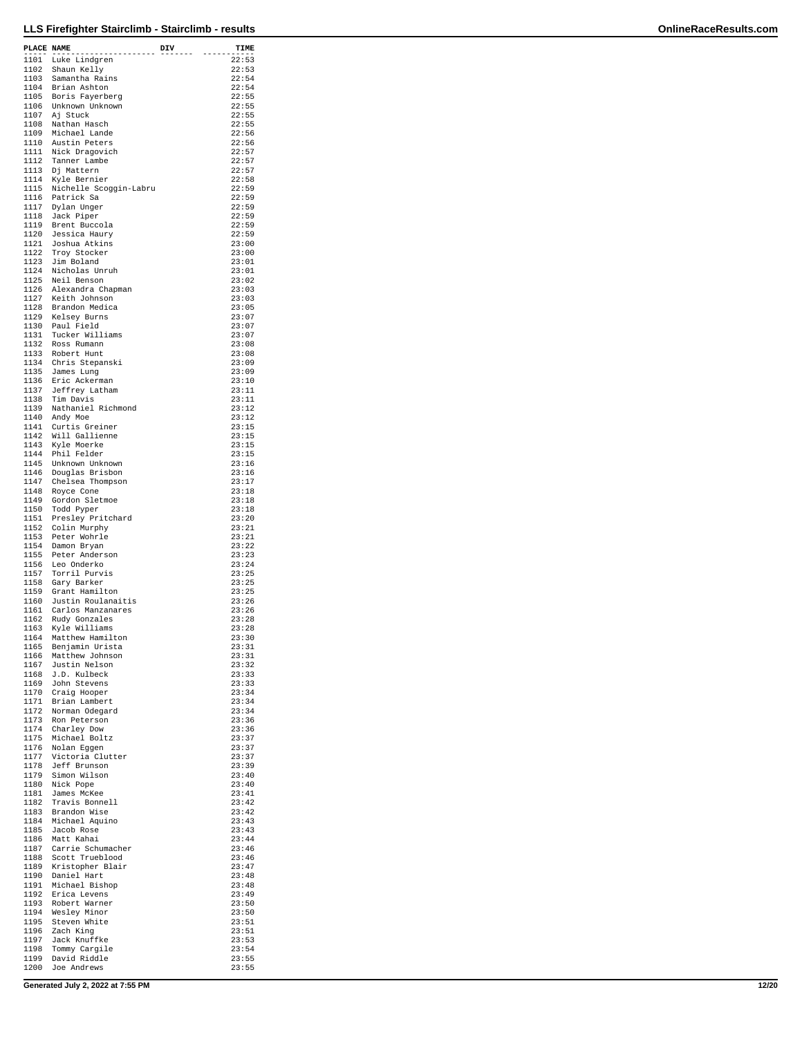| PLACE NAME   |                                                                                          | DIV    | TIME           |
|--------------|------------------------------------------------------------------------------------------|--------|----------------|
|              | .<br>1101 Luke Lindgren                                                                  | ------ | 22:53          |
|              | 1102 Shaun Kelly                                                                         |        | 22:53          |
|              | 1103 Samantha Rains                                                                      |        | 22:54          |
|              | 1104 Brian Ashton<br>1105 Boris Fayerberg                                                |        | 22:54<br>22:55 |
|              | 1106 Unknown Unknown                                                                     |        | 22:55          |
|              | 1107 Aj Stuck                                                                            |        | 22:55          |
|              | 1108 Nathan Hasch<br>1109 Michael Lande                                                  |        | 22:55<br>22:56 |
|              |                                                                                          |        | 22:56          |
|              | 1110 Austin Peters<br>1111 Nick Dragovich                                                |        | 22:57          |
|              | 1112 Tanner Lambe<br>1113 Dj Mattern                                                     |        | 22:57<br>22:57 |
|              | 1114 Kyle Bernier                                                                        |        | 22:58          |
|              | 1115 Nichelle Scoggin-Labru                                                              |        | 22:59          |
|              | 1116 Patrick Sa<br>1117 Dylan Unger                                                      |        | 22:59<br>22:59 |
|              | 1118 Jack Piper                                                                          |        | 22:59          |
|              | 1119 Brent Buccola                                                                       |        | 22:59          |
|              | 1120 Jessica Haury<br>1121 Joshua Atkins                                                 |        | 22:59<br>23:00 |
|              | --<br>1122 Troy Stocker                                                                  |        | 23:00          |
|              | 1123 Jim Boland                                                                          |        | 23:01          |
|              | 1124 Nicholas Unruh                                                                      |        | 23:01<br>23:02 |
|              | 1125 Neil Benson                                                                         |        | 23:03          |
|              | 1126 Alexandra Chapman<br>1127 Keith Johnson<br>1128 Brandon Medica<br>1129 Kelsey Burns |        | 23:03          |
|              |                                                                                          |        | 23:05          |
|              | 1130 Paul Field                                                                          |        | 23:07<br>23:07 |
|              | 1131 Tucker Williams                                                                     |        | 23:07          |
|              | 1132 Ross Rumann                                                                         |        | 23:08          |
|              | 1133 Robert Hunt<br>1134 Chris Stepanski                                                 |        | 23:08<br>23:09 |
|              | 1135 James Lung                                                                          |        | 23:09          |
|              | 1136 Eric Ackerman                                                                       |        | 23:10          |
| 1137         | Jeffrey Latham<br>1138 Tim Davis                                                         |        | 23:11<br>23:11 |
|              | 1139 Nathaniel Richmond                                                                  |        | 23:12          |
|              | 1140 Andy Moe                                                                            |        | 23:12          |
|              | 1141 Curtis Greiner<br>1142 Will Gallienne                                               |        | 23:15<br>23:15 |
|              | 1143 Kyle Moerke                                                                         |        | 23:15          |
|              | 1144 Phil Felder                                                                         |        | 23:15          |
|              | 1145 Unknown Unknown                                                                     |        | 23:16<br>23:16 |
|              | 1146 Douglas Brisbon<br>1147 Chelsea Thompson                                            |        | 23:17          |
|              | 1148 Royce Cone                                                                          |        | 23:18          |
| 1149<br>1150 | Gordon Sletmoe<br>Todd Pyper                                                             |        | 23:18<br>23:18 |
|              | 1151 Presley Pritchard                                                                   |        | 23:20          |
|              | 1152 Colin Murphy                                                                        |        | 23:21          |
|              | 1153 Peter Wohrle<br>1154 Damon Bryan                                                    |        | 23:21<br>23:22 |
|              | 1155 Peter Anderson                                                                      |        | 23:23          |
|              | 1156 Leo Onderko                                                                         |        | 23:24          |
|              | 1157 Torril Purvis<br>1158 Gary Barker                                                   |        | 23:25<br>23:25 |
|              | 1159 Grant Hamilton                                                                      |        | 23:25          |
|              | 1160 Justin Roulanaitis                                                                  |        | 23:26          |
| 1161         | Carlos Manzanares                                                                        |        | 23:26          |
| 1163         | 1162 Rudy Gonzales<br>Kyle Williams                                                      |        | 23:28<br>23:28 |
| 1164         | Matthew Hamilton                                                                         |        | 23:30          |
| 1165         | Benjamin Urista                                                                          |        | 23:31          |
| 1166<br>1167 | Matthew Johnson<br>Justin Nelson                                                         |        | 23:31<br>23:32 |
| 1168         | J.D. Kulbeck                                                                             |        | 23:33          |
| 1169         | John Stevens                                                                             |        | 23:33          |
| 1170<br>1171 | Craig Hooper<br>Brian Lambert                                                            |        | 23:34<br>23:34 |
| 1172         | Norman Odegard                                                                           |        | 23:34          |
| 1173         | Ron Peterson                                                                             |        | 23:36          |
| 1174         | Charley Dow<br>1175 Michael Boltz                                                        |        | 23:36<br>23:37 |
| 1176         | Nolan Eggen                                                                              |        | 23:37          |
| 1177         | Victoria Clutter                                                                         |        | 23:37          |
| 1178<br>1179 | Jeff Brunson<br>Simon Wilson                                                             |        | 23:39<br>23:40 |
| 1180         | Nick Pope                                                                                |        | 23:40          |
| 1181         | James McKee                                                                              |        | 23:41          |
| 1182         | Travis Bonnell<br>1183 Brandon Wise                                                      |        | 23:42<br>23:42 |
|              | 1184 Michael Aquino                                                                      |        | 23:43          |
| 1185         | Jacob Rose                                                                               |        | 23:43          |
| 1186         | Matt Kahai<br>1187 Carrie Schumacher                                                     |        | 23:44<br>23:46 |
| 1188         | Scott Trueblood                                                                          |        | 23:46          |
| 1189         | Kristopher Blair                                                                         |        | 23:47          |
| 1191         | 1190 Daniel Hart                                                                         |        | 23:48<br>23:48 |
|              | Michael Bishop<br>1192 Erica Levens                                                      |        | 23:49          |
|              | 1193 Robert Warner                                                                       |        | 23:50          |
| 1194         | Wesley Minor                                                                             |        | 23:50          |
| 1196         | 1195 Steven White<br>Zach King                                                           |        | 23:51<br>23:51 |
| 1197         | Jack Knuffke                                                                             |        | 23:53          |
| 1198<br>1199 | Tommy Cargile<br>David Riddle                                                            |        | 23:54<br>23:55 |
| 1200         | Joe Andrews                                                                              |        | 23:55          |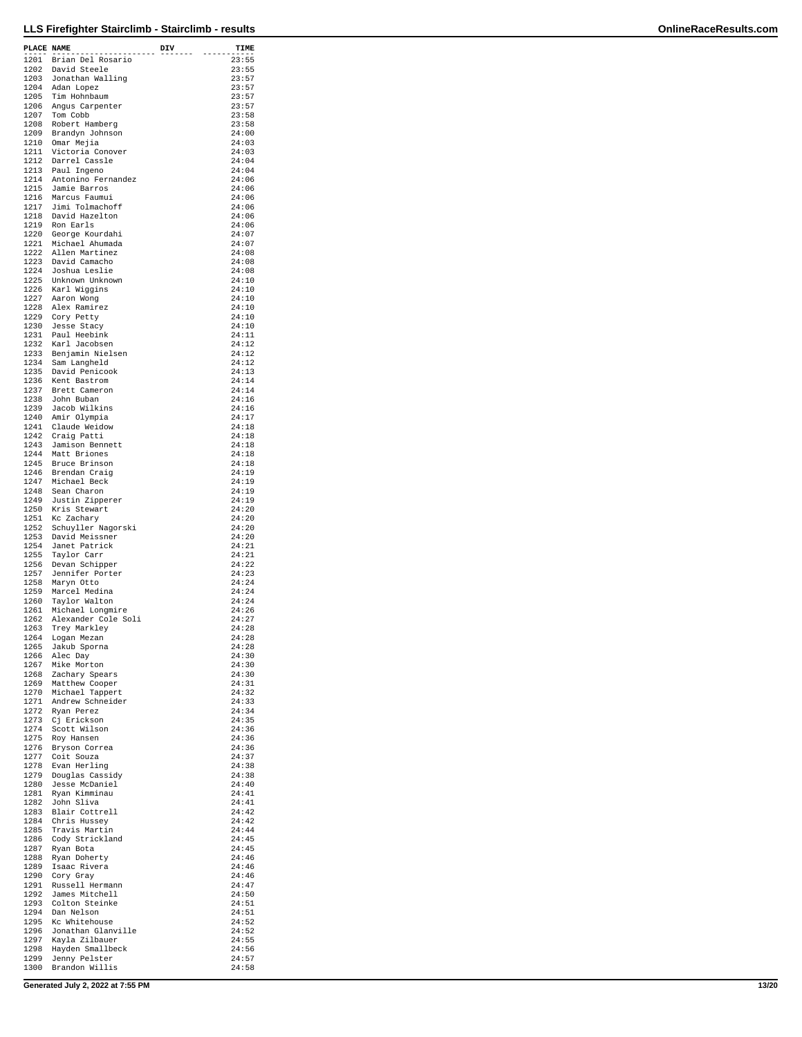| PLACE NAME |                                                                                                        | DIV | TIME           |
|------------|--------------------------------------------------------------------------------------------------------|-----|----------------|
|            | .<br>1201 Brian Del Rosario                                                                            |     | 23:55          |
|            | 1202 David Steele                                                                                      |     | 23:55          |
|            | 1203 Jonathan Walling                                                                                  |     | 23:57<br>23:57 |
|            | 1204 Adan Lopez<br>1205 Tim Hohnbaum                                                                   |     | 23:57          |
|            | 1206 Angus Carpenter                                                                                   |     | 23:57          |
|            | 1207 Tom Cobb                                                                                          |     | 23:58          |
|            | 1208 Robert Hamberg<br>1209 Brandyn Johnson                                                            |     | 23:58<br>24:00 |
|            | 1210 Omar Mejia<br>1211 Victoria Conover                                                               |     | 24:03          |
|            | 1212 Darrel Cassle                                                                                     |     | 24:03<br>24:04 |
|            | 1213 Paul Ingeno                                                                                       |     | 24:04          |
|            | 1214 Antonino Fernandez                                                                                |     | 24:06          |
|            | 1215 Jamie Barros                                                                                      |     | 24:06<br>24:06 |
|            | 1216 Marcus Faumui<br>1217 Jimi Tolmachoff                                                             |     | 24:06          |
|            | 1218 David Hazelton                                                                                    |     | 24:06          |
|            | 1219 Ron Earls<br>1220 George Kourdahi                                                                 |     | 24:06<br>24:07 |
|            |                                                                                                        |     | 24:07          |
|            | 1221 Michael Ahumada<br>1222 Allen Martinez<br>1223 David Camacho                                      |     | 24:08          |
|            | 1224 Joshua Leslie                                                                                     |     | 24:08<br>24:08 |
|            |                                                                                                        |     | 24:10          |
|            | 1225 Unknown Unknown<br>1225 Karl Wiggins<br>1227 Aaron Wong<br>1228 Alex Ramirez<br>1228 Alex Ramirez |     | 24:10          |
|            |                                                                                                        |     | 24:10<br>24:10 |
|            | 1229 Cory Petty                                                                                        |     | 24:10          |
|            | 1230 Jesse Stacy                                                                                       |     | 24:10          |
|            | 1231 Paul Heebink<br>1232 Karl Jacobsen                                                                |     | 24:11<br>24:12 |
|            |                                                                                                        |     | 24:12          |
|            | 1233 Benjamin Nielsen<br>1234 Sam Langheld<br>1235 David Penicook                                      |     | 24:12          |
|            | 1236 Kent Bastrom                                                                                      |     | 24:13<br>24:14 |
|            | 1237 Brett Cameron                                                                                     |     | 24:14          |
|            | 1238 John Buban                                                                                        |     | 24:16          |
|            | 1239 Jacob Wilkins                                                                                     |     | 24:16<br>24:17 |
|            | 1240 Amir Olympia<br>1241 Claude Weidow                                                                |     | 24:18          |
|            | 1242 Craig Patti                                                                                       |     | 24:18          |
|            | 1243 Jamison Bennett<br>1244 Matt Briones                                                              |     | 24:18<br>24:18 |
|            |                                                                                                        |     | 24:18          |
|            | 1245 Bruce Brinson<br>1246 Brendan Craig<br>1247 Michael Beck                                          |     | 24:19          |
|            | 1248 Sean Charon                                                                                       |     | 24:19<br>24:19 |
|            | 1249 Justin Zipperer                                                                                   |     | 24:19          |
|            | 1250 Kris Stewart                                                                                      |     | 24:20          |
|            | 1251 Kc Zachary<br>1252 Schuyller Nagorski                                                             |     | 24:20<br>24:20 |
|            | 1253 David Meissner                                                                                    |     | 24:20          |
|            | 1254 Janet Patrick                                                                                     |     | 24:21          |
| 1255       | Taylor Carr<br>1256 Devan Schipper                                                                     |     | 24:21<br>24:22 |
|            | 1257 Jennifer Porter                                                                                   |     | 24:23          |
|            | 1258 Maryn Otto                                                                                        |     | 24:24          |
|            | 1259 Marcel Medina<br>1260 Taylor Walton                                                               |     | 24:24<br>24:24 |
|            | 1261 Michael Longmire                                                                                  |     | 24:26          |
|            | 1262 Alexander Cole Soli                                                                               |     | 24:27          |
| 1263       | Trey Markley<br>1264 Logan Mezan                                                                       |     | 24:28<br>24:28 |
|            | 1265 Jakub Sporna                                                                                      |     | 24:28          |
| 1266       | Alec Day                                                                                               |     | 24:30          |
|            | 1267 Mike Morton<br>1268 Zachary Spears                                                                |     | 24:30<br>24:30 |
|            | 1269 Matthew Cooper                                                                                    |     | 24:31          |
|            | 1270 Michael Tappert                                                                                   |     | 24:32          |
|            | 1271 Andrew Schneider<br>1272 Ryan Perez                                                               |     | 24:33<br>24:34 |
|            | 1273 Cj Erickson                                                                                       |     | 24:35          |
|            | 1274 Scott Wilson                                                                                      |     | 24:36          |
|            | 1275 Roy Hansen                                                                                        |     | 24:36<br>24:36 |
|            | 1276 Bryson Correa<br>1277 Coit Souza                                                                  |     | 24:37          |
|            | 1278 Evan Herling                                                                                      |     | 24:38<br>24:38 |
|            | 1279 Douglas Cassidy<br>1280 Jesse McDaniel                                                            |     | 24:40          |
|            | 1281 Ryan Kimminau                                                                                     |     | 24:41          |
|            | 1282 John Sliva                                                                                        |     | 24:41          |
|            | 1283 Blair Cottrell<br>1284 Chris Hussey                                                               |     | 24:42<br>24:42 |
| 1285       | Travis Martin                                                                                          |     | 24:44          |
|            | 1286 Cody Strickland<br>1287 Ryan Bota                                                                 |     | 24:45<br>24:45 |
|            | 1288 Ryan Doherty                                                                                      |     | 24:46          |
|            | 1289 Isaac Rivera                                                                                      |     | 24:46          |
|            | 1290 Cory Gray<br>1291 Russell Hermann                                                                 |     | 24:46<br>24:47 |
|            | 1292 James Mitchell                                                                                    |     | 24:50          |
|            | 1293 Colton Steinke                                                                                    |     | 24:51          |
|            | 1294 Dan Nelson<br>1295 Kc Whitehouse                                                                  |     | 24:51<br>24:52 |
|            | 1296 Jonathan Glanville                                                                                |     | 24:52          |
| 1297       | Kayla Zilbauer                                                                                         |     | 24:55          |
|            | 1298 Hayden Smallbeck<br>1299 Jenny Pelster                                                            |     | 24:56<br>24:57 |
|            | 1300 Brandon Willis                                                                                    |     | 24:58          |

**Generated July 2, 2022 at 7:55 PM 13/20**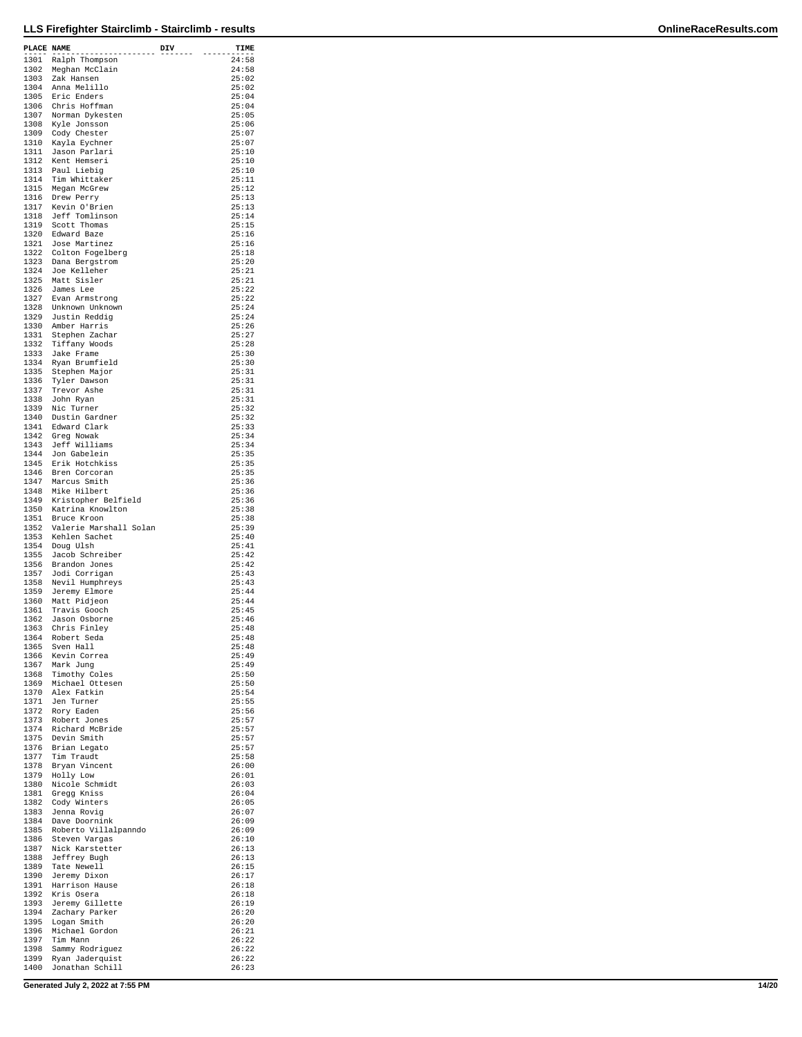| PLACE NAME |                                              | DIV | TIME           |
|------------|----------------------------------------------|-----|----------------|
| 1301       | ---------------<br>Ralph Thompson            |     | 24:58          |
| 1302       | Meghan McClain                               |     | 24:58          |
| 1303       | Zak Hansen                                   |     | 25:02          |
| 1304       | Anna Melillo                                 |     | 25:02          |
| 1306       | 1305 Eric Enders<br>Chris Hoffman            |     | 25:04<br>25:04 |
| 1307       | Norman Dykesten                              |     | 25:05          |
|            | 1308 Kyle Jonsson                            |     | 25:06          |
|            | 1309 Cody Chester                            |     | 25:07          |
| 1310       | Kayla Eychner                                |     | 25:07          |
|            | 1311 Jason Parlari<br>1312 Kent Hemseri      |     | 25:10<br>25:10 |
|            |                                              |     | 25:10          |
|            | 1313 Paul Liebig<br>1314 Tim Whittaker       |     | 25:11          |
|            | 1315 Megan McGrew                            |     | 25:12          |
|            | 1316 Drew Perry<br>1317 Kevin O'Brien        |     | 25:13<br>25:13 |
|            | 1318 Jeff Tomlinson                          |     | 25:14          |
| 1319       | Scott Thomas                                 |     | 25:15          |
|            | 1320 Edward Baze                             |     | 25:16          |
| 1322       | 1321 Jose Martinez<br>Colton Fogelberg       |     | 25:16<br>25:18 |
|            | 1323 Dana Bergstrom                          |     | 25:20          |
|            | 1324 Joe Kelleher                            |     | 25:21          |
|            | 1325 Matt Sisler                             |     | 25:21          |
|            | 1326 James Lee<br>1327 Evan Armstrong        |     | 25:22<br>25:22 |
|            | 1328 Unknown Unknown                         |     | 25:24          |
|            | 1329 Justin Reddig                           |     | 25:24          |
|            | 1330 Amber Harris                            |     | 25:26          |
| 1331       | Stephen Zachar<br>1332 Tiffany Woods         |     | 25:27<br>25:28 |
|            | 1333 Jake Frame                              |     | 25:30          |
| 1334       | Ryan Brumfield                               |     | 25:30          |
|            | 1335 Stephen Major                           |     | 25:31          |
| 1336       | Tyler Dawson                                 |     | 25:31<br>25:31 |
| 1337       | Trevor Ashe<br>1338 John Ryan                |     | 25:31          |
|            | 1339 Nic Turner                              |     | 25:32          |
|            | 1340 Dustin Gardner                          |     | 25:32          |
|            | 1341 Edward Clark                            |     | 25:33          |
| 1343       | 1342 Greg Nowak<br>Jeff Williams             |     | 25:34<br>25:34 |
|            | 1344 Jon Gabelein                            |     | 25:35          |
|            | 1345 Erik Hotchkiss                          |     | 25:35          |
|            | 1346 Bren Corcoran<br>1347 Marcus Smith      |     | 25:35          |
|            | 1348 Mike Hilbert                            |     | 25:36<br>25:36 |
| 1349       | Kristopher Belfield                          |     | 25:36          |
|            | 1350 Katrina Knowlton                        |     | 25:38          |
|            | 1351 Bruce Kroon                             |     | 25:38          |
| 1352       | Valerie Marshall Solan<br>1353 Kehlen Sachet |     | 25:39<br>25:40 |
|            | 1354 Doug Ulsh                               |     | 25:41          |
| 1355       | Jacob Schreiber                              |     | 25:42          |
| 1357       | 1356 Brandon Jones                           |     | 25:42<br>25:43 |
| 1358       | Jodi Corrigan<br>Nevil Humphreys             |     | 25:43          |
|            | 1359 Jeremy Elmore                           |     | 25:44          |
|            | 1360 Matt Pidjeon                            |     | 25:44          |
| 1361       | Travis Gooch                                 |     | 25:45          |
| 1362       | Jason Osborne<br>1363 Chris Finley           |     | 25:46<br>25:48 |
|            | 1364 Robert Seda                             |     | 25:48          |
|            | 1365 Sven Hall                               |     | 25:48          |
|            | 1366 Kevin Correa                            |     | 25:49          |
|            | 1367 Mark Jung<br>1368 Timothy Coles         |     | 25:49<br>25:50 |
|            | 1369 Michael Ottesen                         |     | 25:50          |
| 1370       | Alex Fatkin                                  |     | 25:54          |
|            | 1371 Jen Turner<br>1372 Rory Eaden           |     | 25:55<br>25:56 |
|            | 1373 Robert Jones                            |     | 25:57          |
|            | 1374 Richard McBride                         |     | 25:57          |
|            | 1375 Devin Smith                             |     | 25:57          |
|            | 1376 Brian Legato<br>1377 Tim Traudt         |     | 25:57          |
|            | 1378 Bryan Vincent                           |     | 25:58<br>26:00 |
|            | 1379 Holly Low                               |     | 26:01          |
|            | 1380 Nicole Schmidt                          |     | 26:03          |
| 1382       | 1381 Gregg Kniss                             |     | 26:04<br>26:05 |
|            | Cody Winters<br>1383 Jenna Rovig             |     | 26:07          |
|            | 1384 Dave Doornink                           |     | 26:09          |
|            | 1385 Roberto Villalpanndo                    |     | 26:09          |
|            | 1386 Steven Vargas                           |     | 26:10<br>26:13 |
|            | 1387 Nick Karstetter<br>1388 Jeffrey Bugh    |     | 26:13          |
|            | 1389 Tate Newell                             |     | 26:15          |
|            | 1390 Jeremy Dixon                            |     | 26:17          |
| 1391       | Harrison Hause                               |     | 26:18          |
|            | 1392 Kris Osera<br>1393 Jeremy Gillette      |     | 26:18<br>26:19 |
| 1394       | Zachary Parker                               |     | 26:20          |
|            | 1395 Logan Smith                             |     | 26:20          |
| 1397       | 1396 Michael Gordon<br>Tim Mann              |     | 26:21<br>26:22 |
|            | 1398 Sammy Rodriguez                         |     | 26:22          |
|            | 1399 Ryan Jaderquist                         |     | 26:22          |
|            | 1400 Jonathan Schill                         |     | 26:23          |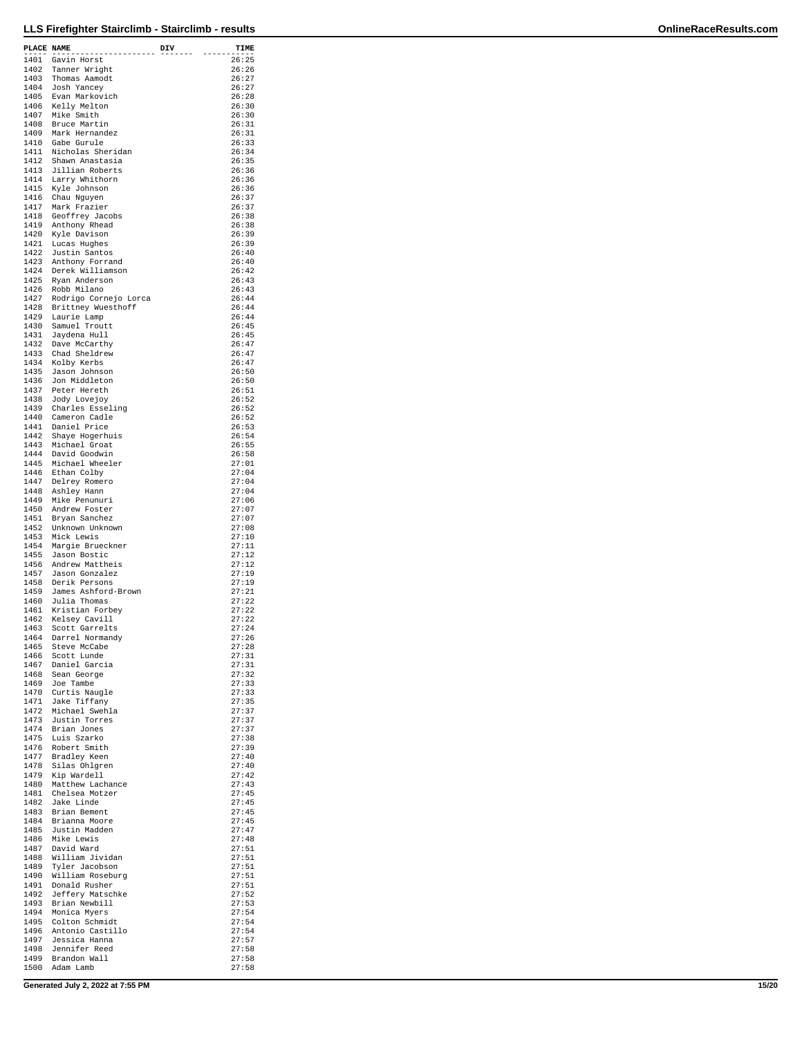| PLACE NAME   | --------                                   | DIV | TIME           |
|--------------|--------------------------------------------|-----|----------------|
| 1401         | Gavin Horst                                |     | 26:25          |
| 1402         | Tanner Wright                              |     | 26:26          |
| 1403         | Thomas Aamodt                              |     | 26:27          |
|              | 1404 Josh Yancey                           |     | 26:27          |
| 1405         | Evan Markovich<br>1406 Kelly Melton        |     | 26:28<br>26:30 |
| 1407         | Mike Smith                                 |     | 26:30          |
| 1408         | Bruce Martin                               |     | 26:31          |
|              | 1409 Mark Hernandez                        |     | 26:31          |
|              | 1410 Gabe Gurule                           |     | 26:33          |
| 1411         | Nicholas Sheridan                          |     | 26:34          |
|              | 1412 Shawn Anastasia                       |     | 26:35          |
| 1413         | Jillian Roberts                            |     | 26:36          |
|              | 1414 Larry Whithorn                        |     | 26:36          |
|              | 1415 Kyle Johnson                          |     | 26:36          |
|              | 1416 Chau Nguyen                           |     | 26:37          |
| 1417         | Mark Frazier                               |     | 26:37          |
|              | 1418 Geoffrey Jacobs                       |     | 26:38          |
| 1419<br>1420 | Anthony Rhead                              |     | 26:38<br>26:39 |
|              | Kyle Davison<br>1421 Lucas Hughes          |     | 26:39          |
|              | 1422 Justin Santos                         |     | 26:40          |
|              | 1423 Anthony Forrand                       |     | 26:40          |
|              | 1424 Derek Williamson                      |     | 26:42          |
| 1425         | Ryan Anderson                              |     | 26:43          |
| 1426         | Robb Milano                                |     | 26:43          |
|              | 1427 Rodrigo Cornejo Lorca                 |     | 26:44          |
|              | 1428 Brittney Wuesthoff                    |     | 26:44          |
|              | 1429 Laurie Lamp                           |     | 26:44          |
| 1431         | 1430 Samuel Troutt                         |     | 26:45<br>26:45 |
| 1432         | Jaydena Hull                               |     | 26:47          |
|              | Dave McCarthy<br>1433 Chad Sheldrew        |     | 26:47          |
|              | 1434 Kolby Kerbs                           |     | 26:47          |
| 1435         | Jason Johnson                              |     | 26:50          |
|              | 1436 Jon Middleton                         |     | 26:50          |
| 1437         | Peter Hereth                               |     | 26:51          |
| 1438         | Jody Lovejoy                               |     | 26:52          |
|              | 1439 Charles Esseling                      |     | 26:52          |
|              | 1440 Cameron Cadle                         |     | 26:52          |
|              | 1441 Daniel Price                          |     | 26:53          |
|              | 1442 Shaye Hogerhuis                       |     | 26:54          |
|              | 1443 Michael Groat<br>1444 David Goodwin   |     | 26:55<br>26:58 |
|              | 1445 Michael Wheeler                       |     | 27:01          |
|              | 1446 Ethan Colby                           |     | 27:04          |
| 1447         | Delrey Romero                              |     | 27:04          |
|              | 1448 Ashley Hann                           |     | 27:04          |
|              | 1449 Mike Penunuri                         |     | 27:06          |
| 1450         | Andrew Foster                              |     | 27:07          |
|              | 1451 Bryan Sanchez<br>1452 Unknown Unknown |     | 27:07<br>27:08 |
| 1453         | Mick Lewis                                 |     | 27:10          |
|              | 1454 Margie Brueckner                      |     | 27:11          |
| 1455         | Jason Bostic                               |     | 27:12          |
| 1456         | Andrew Mattheis                            |     | 27:12          |
| 1457         | Jason Gonzalez                             |     | 27:19          |
|              | 1458 Derik Persons                         |     | 27:19          |
| 1459         | James Ashford-Brown                        |     | 27:21          |
|              | 1460 Julia Thomas<br>Kristian Forbey       |     | 27:22<br>27:22 |
| 1461<br>1462 | Kelsey Cavill                              |     | 27:22          |
| 1463         | Scott Garrelts                             |     | 27:24          |
| 1464         | Darrel Normandy                            |     | 27:26          |
| 1465         | Steve McCabe                               |     | 27:28          |
| 1466         | Scott Lunde                                |     | 27:31          |
| 1467         | Daniel Garcia                              |     | 27:31          |
|              | 1468 Sean George                           |     | 27:32          |
|              | 1469 Joe Tambe                             |     | 27:33<br>27:33 |
|              | 1470 Curtis Naugle                         |     | 27:35          |
|              | 1471 Jake Tiffany<br>1472 Michael Swehla   |     | 27:37          |
| 1473         | Justin Torres                              |     | 27:37          |
|              | 1474 Brian Jones                           |     | 27:37          |
|              | 1475 Luis Szarko                           |     | 27:38          |
|              | 1476 Robert Smith                          |     | 27:39          |
| 1477         | Bradley Keen                               |     | 27:40          |
| 1479         | 1478 Silas Ohlgren<br>Kip Wardell          |     | 27:40<br>27:42 |
| 1480         | Matthew Lachance                           |     | 27:43          |
|              | 1481 Chelsea Motzer                        |     | 27:45          |
|              | 1482 Jake Linde                            |     | 27:45          |
|              | 1483 Brian Bement                          |     | 27:45          |
|              | 1484 Brianna Moore                         |     | 27:45          |
| 1485         | Justin Madden                              |     | 27:47          |
| 1486         | Mike Lewis                                 |     | 27:48          |
|              | 1487 David Ward<br>1488 William Jividan    |     | 27:51<br>27:51 |
| 1489         | Tyler Jacobson                             |     | 27:51          |
|              | 1490 William Roseburg                      |     | 27:51          |
| 1491         | Donald Rusher                              |     | 27:51          |
|              | 1492 Jeffery Matschke                      |     | 27:52          |
|              | 1493 Brian Newbill                         |     | 27:53          |
|              | 1494 Monica Myers                          |     | 27:54          |
|              | 1495 Colton Schmidt                        |     | 27:54          |
| 1497         | 1496 Antonio Castillo<br>Jessica Hanna     |     | 27:54<br>27:57 |
| 1498         | Jennifer Reed                              |     | 27:58          |
| 1499         | Brandon Wall                               |     | 27:58          |
|              | 1500 Adam Lamb                             |     | 27:58          |

**Generated July 2, 2022 at 7:55 PM 15/20**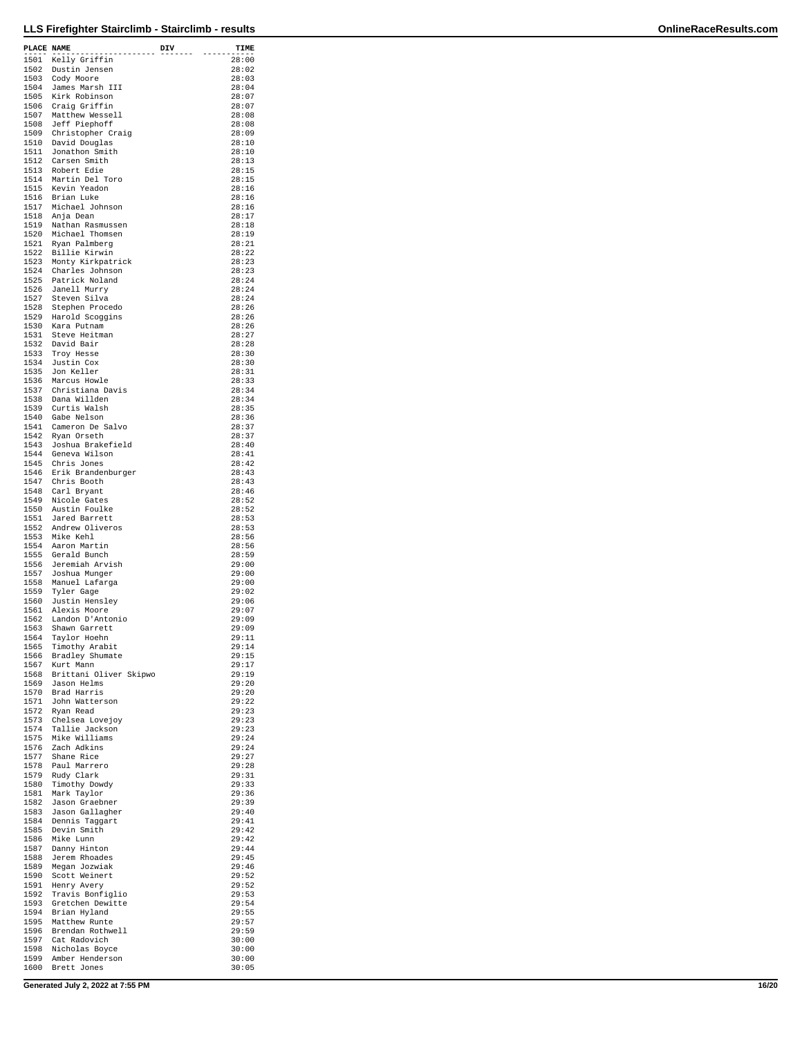| PLACE NAME   |                                             | DIV | TIME           |
|--------------|---------------------------------------------|-----|----------------|
|              | .<br>1501 Kelly Griffin                     |     | 28:00          |
| 1502         | Dustin Jensen                               |     | 28:02          |
|              | 1503 Cody Moore                             |     | 28:03          |
| 1504         | James Marsh III                             |     | 28:04          |
| 1506         | 1505 Kirk Robinson                          |     | 28:07<br>28:07 |
| 1507         | Craig Griffin<br>Matthew Wessell            |     | 28:08          |
|              | 1508 Jeff Piephoff                          |     | 28:08          |
|              | 1509 Christopher Craig                      |     | 28:09          |
|              | 1510 David Douglas                          |     | 28:10          |
| 1512         | 1511 Jonathon Smith<br>Carsen Smith         |     | 28:10<br>28:13 |
|              | 1513 Robert Edie                            |     | 28:15          |
|              | 1514 Martin Del Toro                        |     | 28:15          |
|              | 1515 Kevin Yeadon                           |     | 28:16          |
|              | 1516 Brian Luke<br>1517 Michael Johnson     |     | 28:16<br>28:16 |
|              | 1518 Anja Dean                              |     | 28:17          |
| 1519         | Nathan Rasmussen                            |     | 28:18          |
|              | 1520 Michael Thomsen                        |     | 28:19          |
|              | 1521 Ryan Palmberg<br>1522 Billie Kirwin    |     | 28:21<br>28:22 |
|              | 1523 Monty Kirkpatrick                      |     | 28:23          |
|              | 1524 Charles Johnson                        |     | 28:23          |
| 1525         | Patrick Noland                              |     | 28:24          |
|              | 1526 Janell Murry<br>1527 Steven Silva      |     | 28:24<br>28:24 |
|              | 1528 Stephen Procedo                        |     | 28:26          |
|              | 1529 Harold Scoggins                        |     | 28:26          |
|              | 1530 Kara Putnam                            |     | 28:26          |
| 1531         | Steve Heitman<br>1532 David Bair            |     | 28:27<br>28:28 |
|              | 1533 Troy Hesse                             |     | 28:30          |
|              | 1534 Justin Cox                             |     | 28:30          |
|              | 1535 Jon Keller                             |     | 28:31          |
| 1537         | 1536 Marcus Howle<br>Christiana Davis       |     | 28:33<br>28:34 |
|              | 1538 Dana Willden                           |     | 28:34          |
|              | 1539 Curtis Walsh                           |     | 28:35          |
|              | 1540 Gabe Nelson                            |     | 28:36          |
|              | 1541 Cameron De Salvo<br>1542 Ryan Orseth   |     | 28:37<br>28:37 |
| 1543         | Joshua Brakefield                           |     | 28:40          |
|              | 1544 Geneva Wilson                          |     | 28:41          |
|              | 1545 Chris Jones                            |     | 28:42          |
|              | 1546 Erik Brandenburger<br>1547 Chris Booth |     | 28:43<br>28:43 |
| 1548         | Carl Bryant                                 |     | 28:46          |
| 1549         | Nicole Gates                                |     | 28:52          |
|              | 1550 Austin Foulke                          |     | 28:52          |
| 1552         | 1551 Jared Barrett<br>Andrew Oliveros       |     | 28:53<br>28:53 |
|              | 1553 Mike Kehl                              |     | 28:56          |
|              | 1554 Aaron Martin                           |     | 28:56          |
| 1555         | Gerald Bunch                                |     | 28:59          |
|              | 1556 Jeremiah Arvish<br>1557 Joshua Munger  |     | 29:00<br>29:00 |
| 1558         | Manuel Lafarga                              |     | 29:00          |
| 1559         | Tyler Gage                                  |     | 29:02          |
|              | 1560 Justin Hensley                         |     | 29:06          |
| 1561         | Alexis Moore<br>1562 Landon D'Antonio       |     | 29:07<br>29:09 |
| 1563         | Shawn Garrett                               |     | 29:09          |
| 1564         | Taylor Hoehn                                |     | 29:11          |
| 1565         | Timothy Arabit                              |     | 29:14          |
| 1566<br>1567 | Bradley Shumate<br>Kurt Mann                |     | 29:15<br>29:17 |
|              | 1568 Brittani Oliver Skipwo                 |     | 29:19          |
|              | 1569 Jason Helms                            |     | 29:20          |
|              | 1570 Brad Harris                            |     | 29:20          |
|              | 1571 John Watterson<br>1572 Ryan Read       |     | 29:22<br>29:23 |
| 1573         | Chelsea Lovejoy                             |     | 29:23          |
| 1574         | Tallie Jackson                              |     | 29:23          |
| 1576         | 1575 Mike Williams<br>Zach Adkins           |     | 29:24<br>29:24 |
| 1577         | Shane Rice                                  |     | 29:27          |
| 1578         | Paul Marrero                                |     | 29:28          |
| 1579         | Rudy Clark                                  |     | 29:31          |
| 1580         | Timothy Dowdy                               |     | 29:33<br>29:36 |
|              | 1581 Mark Taylor<br>1582 Jason Graebner     |     | 29:39          |
|              | 1583 Jason Gallagher                        |     | 29:40          |
| 1584         | Dennis Taggart                              |     | 29:41          |
| 1585         | Devin Smith<br>1586 Mike Lunn               |     | 29:42<br>29:42 |
|              | 1587 Danny Hinton                           |     | 29:44          |
|              | 1588 Jerem Rhoades                          |     | 29:45          |
|              | 1589 Megan Jozwiak                          |     | 29:46          |
| 1590<br>1591 | Scott Weinert<br>Henry Avery                |     | 29:52<br>29:52 |
| 1592         | Travis Bonfiglio                            |     | 29:53          |
|              | 1593 Gretchen Dewitte                       |     | 29:54          |
|              | 1594 Brian Hyland                           |     | 29:55          |
| 1596         | 1595 Matthew Runte<br>Brendan Rothwell      |     | 29:57<br>29:59 |
| 1597         | Cat Radovich                                |     | 30:00          |
|              | 1598 Nicholas Boyce                         |     | 30:00          |
|              | 1599 Amber Henderson<br>1600 Brett Jones    |     | 30:00<br>30:05 |
|              |                                             |     |                |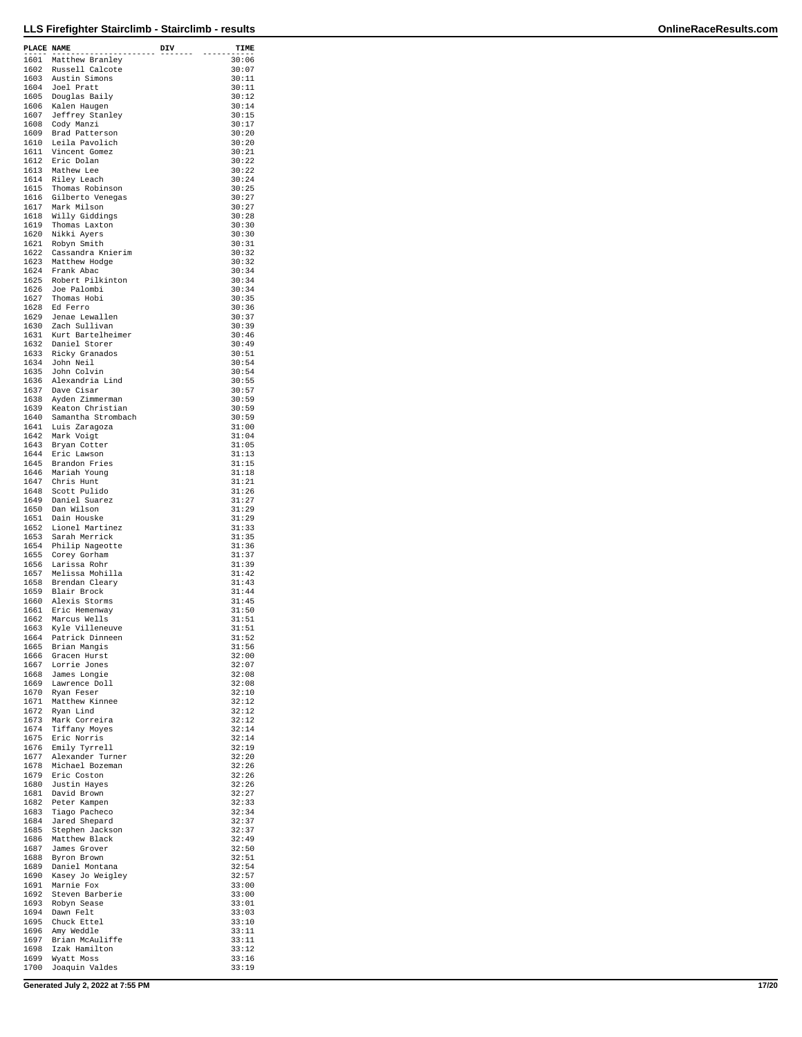| PLACE NAME | -----------------                             | DIV | TIME           |
|------------|-----------------------------------------------|-----|----------------|
|            | 1601 Matthew Branley                          |     | 30:06          |
|            | 1602 Russell Calcote                          |     | 30:07<br>30:11 |
|            | 1603 Austin Simons<br>1604 Joel Pratt         |     | 30:11          |
|            | 1605 Douglas Baily                            |     | 30:12          |
|            | 1606 Kalen Haugen<br>1607 Jeffrey Stanley     |     | 30:14          |
|            | 1608 Cody Manzi                               |     | 30:15<br>30:17 |
|            | 1609 Brad Patterson                           |     | 30:20          |
|            | 1610 Leila Pavolich                           |     | 30:20          |
|            | 1611 Vincent Gomez<br>1612 Eric Dolan         |     | 30:21<br>30:22 |
|            | 1613 Mathew Lee                               |     | 30:22          |
|            | 1614 Riley Leach                              |     | 30:24          |
|            | 1615 Thomas Robinson                          |     | 30:25<br>30:27 |
|            | 1616 Gilberto Venegas<br>1617 Mark Milson     |     | 30:27          |
|            | 1618 Willy Giddings                           |     | 30:28          |
|            | 1619 Thomas Laxton                            |     | 30:30          |
|            | 1620 Nikki Ayers<br>1621 Robyn Smith          |     | 30:30<br>30:31 |
|            | 1622 Cassandra Knierim                        |     | 30:32          |
|            | 1623 Matthew Hodge                            |     | 30:32          |
|            | 1624 Frank Abac<br>1625 Robert Pilkinton      |     | 30:34          |
|            | 1626 Joe Palombi                              |     | 30:34<br>30:34 |
|            | 1627 Thomas Hobi                              |     | 30:35          |
|            | 1628 Ed Ferro                                 |     | 30:36          |
|            | 1629 Jenae Lewallen                           |     | 30:37          |
|            | 1630 Zach Sullivan<br>1631 Kurt Bartelheimer  |     | 30:39<br>30:46 |
|            | 1632 Daniel Storer                            |     | 30:49          |
|            | 1633 Ricky Granados                           |     | 30:51          |
|            | 1634 John Neil                                |     | 30:54          |
|            | 1635 John Colvin<br>1636 Alexandria Lind      |     | 30:54<br>30:55 |
|            | 1637 Dave Cisar                               |     | 30:57          |
|            | 1638 Ayden Zimmerman                          |     | 30:59          |
|            | 1639 Keaton Christian                         |     | 30:59          |
|            | 1640 Samantha Strombach<br>1641 Luis Zaragoza |     | 30:59<br>31:00 |
|            | 1642 Mark Voigt                               |     | 31:04          |
|            | 1643 Bryan Cotter                             |     | 31:05          |
|            | 1644 Eric Lawson                              |     | 31:13          |
|            | 1645 Brandon Fries<br>1646 Mariah Young       |     | 31:15<br>31:18 |
|            | 1647 Chris Hunt                               |     | 31:21          |
|            | 1648 Scott Pulido                             |     | 31:26          |
|            | 1649 Daniel Suarez                            |     | 31:27          |
|            | 1650 Dan Wilson<br>1651 Dain Houske           |     | 31:29<br>31:29 |
|            | 1652 Lionel Martinez                          |     | 31:33          |
|            | 1653 Sarah Merrick                            |     | 31:35          |
|            | 1654 Philip Nageotte                          |     | 31:36          |
| 1655       | Corey Gorham<br>1656 Larissa Rohr             |     | 31:37<br>31:39 |
|            | 1657 Melissa Mohilla                          |     | 31:42          |
|            | 1658 Brendan Cleary                           |     | 31:43          |
|            | 1659 Blair Brock                              |     | 31:44          |
|            | 1660 Alexis Storms<br>1661 Eric Hemenway      |     | 31:45<br>31:50 |
|            | 1662 Marcus Wells                             |     | 31:51          |
|            | 1663 Kyle Villeneuve                          |     | 31:51          |
| 1664       | Patrick Dinneen<br>1665 Brian Mangis          |     | 31:52<br>31:56 |
|            | 1666 Gracen Hurst                             |     | 32:00          |
| 1667       | Lorrie Jones                                  |     | 32:07          |
|            | 1668 James Longie                             |     | 32:08          |
|            | 1669 Lawrence Doll<br>1670 Ryan Feser         |     | 32:08<br>32:10 |
|            | 1671 Matthew Kinnee                           |     | 32:12          |
|            | 1672 Ryan Lind                                |     | 32:12          |
|            | 1673 Mark Correira                            |     | 32:12          |
|            | 1674 Tiffany Moyes<br>1675 Eric Norris        |     | 32:14<br>32:14 |
| 1676       | Emily Tyrrell                                 |     | 32:19          |
|            | 1677 Alexander Turner                         |     | 32:20          |
|            | 1678 Michael Bozeman                          |     | 32:26          |
|            | 1679 Eric Coston<br>1680 Justin Hayes         |     | 32:26<br>32:26 |
|            | 1681 David Brown                              |     | 32:27          |
| 1682       | Peter Kampen                                  |     | 32:33          |
|            | 1683 Tiago Pacheco                            |     | 32:34          |
|            | 1684 Jared Shepard<br>1685 Stephen Jackson    |     | 32:37<br>32:37 |
|            | 1686 Matthew Black                            |     | 32:49          |
|            | 1687 James Grover                             |     | 32:50          |
| 1688       | Byron Brown                                   |     | 32:51          |
|            | 1689 Daniel Montana<br>1690 Kasey Jo Weigley  |     | 32:54<br>32:57 |
| 1691       | Marnie Fox                                    |     | 33:00          |
|            | 1692 Steven Barberie                          |     | 33:00          |
|            | 1693 Robyn Sease                              |     | 33:01          |
|            | 1694 Dawn Felt<br>1695 Chuck Ettel            |     | 33:03<br>33:10 |
|            | 1696 Amy Weddle                               |     | 33:11          |
| 1697       | Brian McAuliffe                               |     | 33:11          |
| 1698       | Izak Hamilton<br>1699 Wyatt Moss              |     | 33:12<br>33:16 |
|            | 1700 Joaquin Valdes                           |     | 33:19          |

**Generated July 2, 2022 at 7:55 PM 17/20**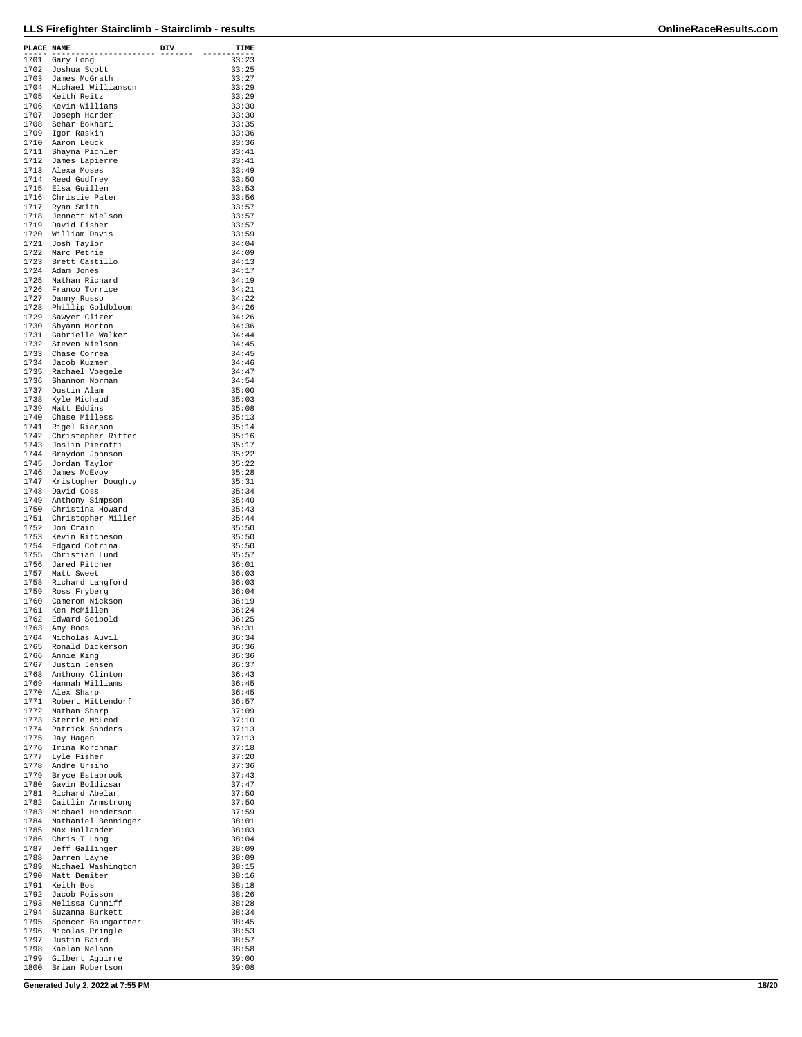| PLACE NAME   |                                                  | DIV | TIME           |
|--------------|--------------------------------------------------|-----|----------------|
| 1701         | .<br>Gary Long                                   |     | 33:23          |
| 1702         | Joshua Scott                                     |     | 33:25          |
| 1703         | James McGrath                                    |     | 33:27<br>33:29 |
| 1704<br>1705 | Michael Williamson<br>Keith Reitz                |     | 33:29          |
| 1706         | Kevin Williams                                   |     | 33:30          |
| 1707         | Joseph Harder                                    |     | 33:30          |
| 1708<br>1709 | Sehar Bokhari<br>Igor Raskin                     |     | 33:35<br>33:36 |
| 1710         | Aaron Leuck                                      |     | 33:36          |
| 1711         | Shayna Pichler                                   |     | 33:41          |
| 1712<br>1713 | James Lapierre<br>Alexa Moses                    |     | 33:41<br>33:49 |
| 1714         | Reed Godfrey                                     |     | 33:50          |
| 1715         | Elsa Guillen                                     |     | 33:53          |
| 1716         | Christie Pater                                   |     | 33:56          |
| 1717<br>1718 | Ryan Smith<br>Jennett Nielson                    |     | 33:57<br>33:57 |
| 1719         | David Fisher                                     |     | 33:57          |
|              | 1720 William Davis                               |     | 33:59          |
| 1721<br>1722 | Josh Taylor<br>Marc Petrie                       |     | 34:04<br>34:09 |
| 1723         | Brett Castillo                                   |     | 34:13          |
|              | 1724 Adam Jones                                  |     | 34:17          |
| 1725         | Nathan Richard                                   |     | 34:19          |
|              | 1726 Franco Torrice<br>1727 Danny Russo          |     | 34:21<br>34:22 |
| 1728         | Phillip Goldbloom                                |     | 34:26          |
| 1729         | Sawyer Clizer                                    |     | 34:26          |
| 1730         | Shyann Morton                                    |     | 34:36<br>34:44 |
| 1731<br>1732 | Gabrielle Walker<br>Steven Nielson               |     | 34:45          |
| 1733         | Chase Correa                                     |     | 34:45          |
| 1734         | Jacob Kuzmer                                     |     | 34:46          |
|              | 1735 Rachael Voegele                             |     | 34:47          |
| 1736<br>1737 | Shannon Norman<br>Dustin Alam                    |     | 34:54<br>35:00 |
|              | 1738 Kyle Michaud                                |     | 35:03          |
|              | 1739 Matt Eddins                                 |     | 35:08          |
| 1740         | Chase Milless                                    |     | 35:13          |
| 1741<br>1742 | Rigel Rierson<br>Christopher Ritter              |     | 35:14<br>35:16 |
| 1743         | Joslin Pierotti                                  |     | 35:17          |
| 1744         | Braydon Johnson                                  |     | 35:22          |
| 1745         | Jordan Taylor                                    |     | 35:22          |
| 1746<br>1747 | James McEvoy<br>Kristopher Doughty               |     | 35:28<br>35:31 |
| 1748         | David Coss                                       |     | 35:34          |
| 1749         | Anthony Simpson                                  |     | 35:40          |
| 1750<br>1751 | Christina Howard                                 |     | 35:43          |
| 1752         | Christopher Miller<br>Jon Crain                  |     | 35:44<br>35:50 |
| 1753         | Kevin Ritcheson                                  |     | 35:50          |
| 1754         | Edgard Cotrina                                   |     | 35:50          |
| 1755<br>1756 | Christian Lund<br>Jared Pitcher                  |     | 35:57<br>36:01 |
| 1757         | Matt Sweet                                       |     | 36:03          |
| 1758         | Richard Langford                                 |     | 36:03          |
| 1759         | Ross Fryberg                                     |     | 36:04          |
| 1760<br>1761 | Cameron Nickson<br>Ken McMillen                  |     | 36:19<br>36:24 |
| 1762         | Edward Seibold                                   |     | 36:25          |
| 1763         | Amy Boos                                         |     | 36:31          |
| 1764         | Nicholas Auvil                                   |     | 36:34          |
|              | 1765 Ronald Dickerson<br>1766 Annie King         |     | 36:36<br>36:36 |
|              | 1767 Justin Jensen                               |     | 36:37          |
|              | 1768 Anthony Clinton                             |     | 36:43          |
|              | 1769 Hannah Williams                             |     | 36:45          |
|              | 1770 Alex Sharp<br>1771 Robert Mittendorf        |     | 36:45<br>36:57 |
|              | 1772 Nathan Sharp                                |     | 37:09          |
| 1773         | Sterrie McLeod                                   |     | 37:10          |
|              | 1774 Patrick Sanders<br>1775 Jay Hagen           |     | 37:13<br>37:13 |
|              | Irina Korchmar                                   |     | 37:18          |
|              | 1776 Irina Korch<br>1777 Lyle Fisher             |     | 37:20          |
|              | 1778 Andre Ursino                                |     | 37:36          |
| 1779         | Bryce Estabrook<br>1780 Gavin Boldizsar          |     | 37:43<br>37:47 |
|              | 1781 Richard Abelar                              |     | 37:50          |
|              | 1782 Caitlin Armstrong                           |     | 37:50          |
|              | 1783 Michael Henderson                           |     | 37:59          |
|              | 1784 Nathaniel Benninger<br>1785 Max Hollander   |     | 38:01<br>38:03 |
|              | 1786 Chris T Long                                |     | 38:04          |
|              | 1787 Jeff Gallinger                              |     | 38:09          |
|              | 1788 Darren Layne                                |     | 38:09          |
|              | 1789 Michael Washington<br>1790 Matt Demiter     |     | 38:15<br>38:16 |
|              | 1791 Keith Bos                                   |     | 38:18          |
|              | 1792 Jacob Poisson                               |     | 38:26          |
|              | 1793 Melissa Cunniff                             |     | 38:28          |
|              | 1794 Suzanna Burkett<br>1795 Spencer Baumgartner |     | 38:34<br>38:45 |
|              | 1796 Nicolas Pringle                             |     | 38:53          |
| 1797         | Justin Baird                                     |     | 38:57          |
|              | 1798 Kaelan Nelson<br>1799 Gilbert Aguirre       |     | 38:58<br>39:00 |
|              | 1800 Brian Robertson                             |     | 39:08          |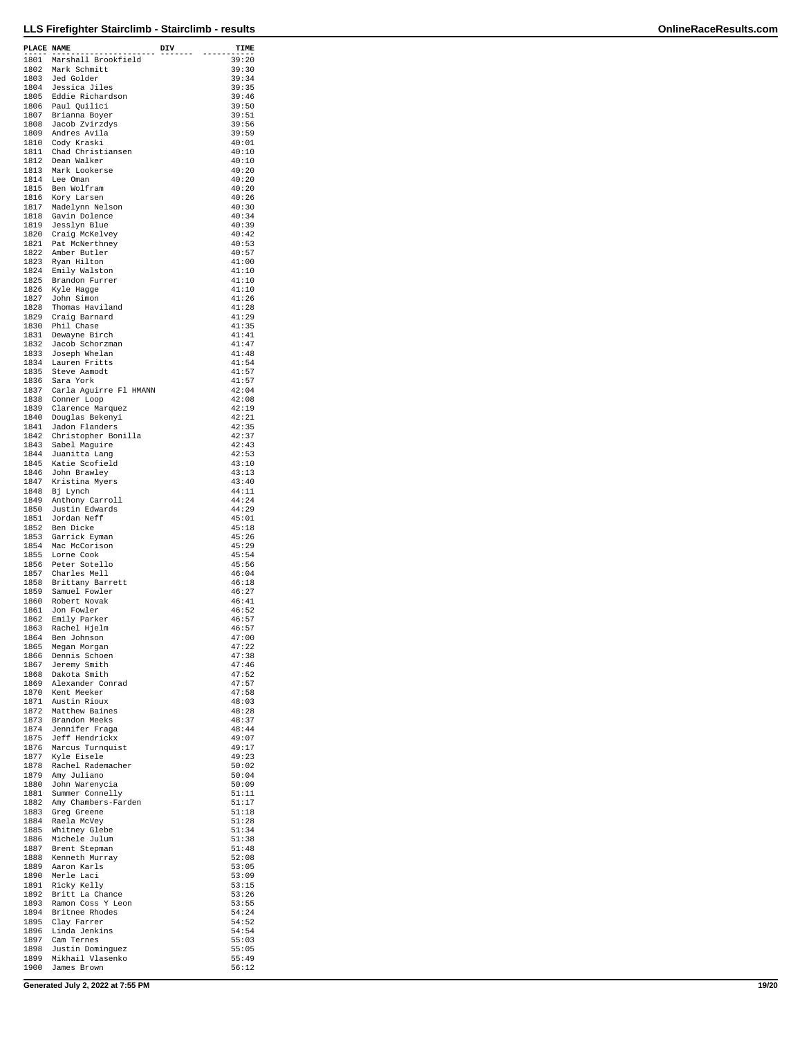| PLACE NAME |                                             | DIV | TIME           |
|------------|---------------------------------------------|-----|----------------|
|            | 1801 Marshall Brookfield                    |     | 39:20          |
|            | 1802 Mark Schmitt                           |     | 39:30          |
|            | 1803 Jed Golder                             |     | 39:34          |
|            |                                             |     | 39:35          |
|            | 1804 Jessica Jiles<br>1805 Eddie Richardson |     | 39:46          |
|            | 1806 Paul Quilici                           |     | 39:50          |
|            | 1807 Brianna Boyer                          |     | 39:51          |
|            | 1808 Jacob Zvirzdys                         |     | 39:56          |
|            | 1809 Andres Avila                           |     | 39:59          |
|            | 1810 Cody Kraski                            |     | 40:01          |
|            | 1811 Chad Christiansen                      |     | 40:10          |
|            | 1812 Dean Walker                            |     | 40:10          |
|            | 1813 Mark Lookerse                          |     | 40:20          |
|            | 1814 Lee Oman                               |     | 40:20          |
|            | 1815 Ben Wolfram                            |     | 40:20          |
|            |                                             |     | 40:26          |
|            | 1816  Kory Larsen<br>1817  Madelynn Nelson  |     | 40:30          |
|            | 1818 Gavin Dolence                          |     | 40:34          |
| 1819       | Jesslyn Blue                                |     | 40:39          |
|            | 1820 Craig McKelvey                         |     | 40:42          |
|            | 1821 Pat McNerthney                         |     | 40:53          |
|            | 1822 Amber Butler                           |     | 40:57          |
|            | 1823 Ryan Hilton                            |     | 41:00          |
|            | 1824 Emily Walston                          |     | 41:10          |
| 1825       | Brandon Furrer                              |     | 41:10          |
|            |                                             |     | 41:10          |
|            | 1826 Kyle Hagge<br>1827 John Simon          |     | 41:26          |
|            | 1828 Thomas Haviland                        |     | 41:28          |
|            | 1829 Craig Barnard                          |     | 41:29          |
|            | 1830 Phil Chase                             |     | 41:35          |
| 1831       | Dewayne Birch                               |     | 41:41          |
|            | 1832 Jacob Schorzman                        |     | 41:47          |
|            | 1833 Joseph Whelan                          |     | 41:48          |
|            | 1834 Lauren Fritts                          |     | 41:54          |
|            |                                             |     | 41:57          |
|            | 1835 Steve Aamodt                           |     |                |
|            | 1836 Sara York                              |     | 41:57          |
| 1837       | Carla Aguirre Fl HMANN                      |     | 42:04          |
|            | 1838 Conner Loop                            |     | 42:08          |
|            | 1839 Clarence Marquez                       |     | 42:19          |
|            | 1840 Douglas Bekenyi                        |     | 42:21          |
|            | 1841 Jadon Flanders                         |     | 42:35          |
|            | 1842 Christopher Bonilla                    |     | 42:37          |
|            | 1843 Sabel Maguire                          |     | 42:43          |
|            | 1844 Juanitta Lang                          |     | 42:53          |
|            | 1845 Katie Scofield                         |     | 43:10          |
|            | 1846 John Brawley<br>1847 Kristina Myers    |     | 43:13          |
|            |                                             |     | 43:40          |
|            | 1848 Bj Lynch                               |     | 44:11          |
|            | 1849 Anthony Carroll                        |     | 44:24          |
| 1850       | Justin Edwards                              |     | 44:29          |
|            | 1851 Jordan Neff                            |     | 45:01          |
|            | 1852 Ben Dicke                              |     | 45:18          |
|            | 1853 Garrick Eyman                          |     | 45:26          |
|            | 1854 Mac McCorison                          |     | 45:29          |
| 1855       | Lorne Cook                                  |     | 45:54          |
| 1856       | Peter Sotello                               |     | 45:56          |
|            | 1857 Charles Mell                           |     | 46:04          |
|            | 1858 Brittany Barrett                       |     | 46:18          |
|            | 1859 Samuel Fowler                          |     | 46:27          |
|            | 1860 Robert Novak                           |     | 46:41          |
| 1861       | Jon Fowler                                  |     | 46:52          |
| 1862       | Emily Parker                                |     | 46:57          |
| 1863       | Rachel Hjelm                                |     | 46:57          |
| 1864       | Ben Johnson                                 |     | 47:00          |
| 1865       | Megan Morgan                                |     | 47:22          |
|            | 1866 Dennis Schoen                          |     | 47:38          |
| 1867       | Jeremy Smith                                |     | 47:46          |
|            | 1868 Dakota Smith                           |     | 47:52          |
|            | 1869 Alexander Conrad                       |     | 47:57          |
|            | 1870 Kent Meeker                            |     | 47:58          |
|            | 1871 Austin Rioux                           |     | 48:03          |
|            | 1872 Matthew Baines                         |     | 48:28          |
|            | 1873 Brandon Meeks                          |     | 48:37          |
|            | 1874 Jennifer Fraga                         |     | 48:44          |
|            | 1875 Jeff Hendrickx                         |     | 49:07          |
|            | 1876 Marcus Turnquist                       |     | 49:17          |
| 1877       | Kyle Eisele                                 |     | 49:23          |
|            | 1878 Rachel Rademacher                      |     | 50:02          |
|            | 1879 Amy Juliano                            |     | 50:04          |
| 1880       | John Warenycia                              |     | 50:09          |
| 1881       | Summer Connelly                             |     | 51:11          |
|            | 1882 Amy Chambers-Farden                    |     | 51:17<br>51:18 |
|            | 1883 Greg Greene                            |     | 51:28          |
| 1885       | 1884 Raela McVey                            |     | 51:34          |
| 1886       | Whitney Glebe                               |     | 51:38          |
|            | Michele Julum<br>1887 Brent Stepman         |     | 51:48          |
|            | 1888 Kenneth Murray                         |     | 52:08          |
|            |                                             |     | 53:05          |
|            | 1889 Aaron Karls<br>1890 Merle Laci         |     | 53:09          |
| 1891       | Ricky Kelly                                 |     | 53:15          |
| 1892       | Britt La Chance                             |     | 53:26          |
|            | 1893 Ramon Coss Y Leon                      |     | 53:55          |
|            | 1894 Britnee Rhodes                         |     | 54:24          |
| 1895       | Clay Farrer                                 |     | 54:52          |
|            | 1896 Linda Jenkins                          |     | 54:54          |
| 1897       | Cam Ternes                                  |     | 55:03          |
| 1898       | Justin Dominguez                            |     | 55:05          |
|            | 1899 Mikhail Vlasenko                       |     | 55:49          |
|            | 1900 James Brown                            |     | 56:12          |

**Generated July 2, 2022 at 7:55 PM 19/20**